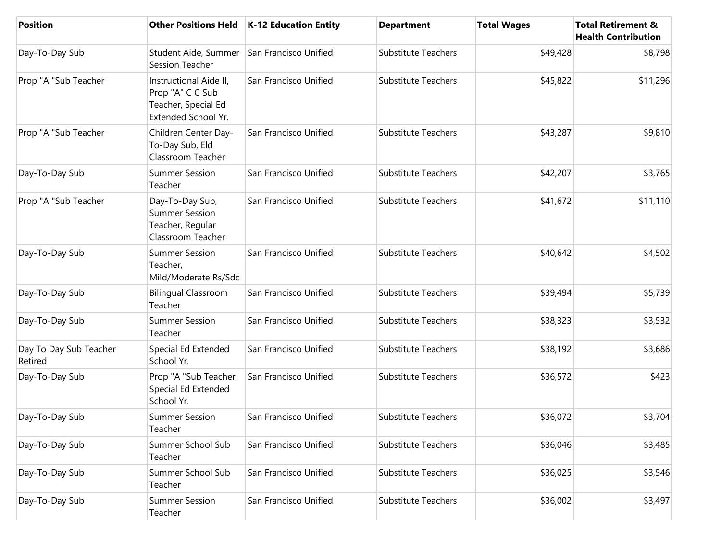| <b>Position</b>                   | <b>Other Positions Held</b>                                                              | <b>K-12 Education Entity</b> | <b>Department</b>          | <b>Total Wages</b> | <b>Total Retirement &amp;</b><br><b>Health Contribution</b> |
|-----------------------------------|------------------------------------------------------------------------------------------|------------------------------|----------------------------|--------------------|-------------------------------------------------------------|
| Day-To-Day Sub                    | Student Aide, Summer<br><b>Session Teacher</b>                                           | San Francisco Unified        | <b>Substitute Teachers</b> | \$49,428           | \$8,798                                                     |
| Prop "A "Sub Teacher              | Instructional Aide II,<br>Prop "A" C C Sub<br>Teacher, Special Ed<br>Extended School Yr. | San Francisco Unified        | <b>Substitute Teachers</b> | \$45,822           | \$11,296                                                    |
| Prop "A "Sub Teacher              | Children Center Day-<br>To-Day Sub, Eld<br>Classroom Teacher                             | San Francisco Unified        | <b>Substitute Teachers</b> | \$43,287           | \$9,810                                                     |
| Day-To-Day Sub                    | <b>Summer Session</b><br>Teacher                                                         | San Francisco Unified        | <b>Substitute Teachers</b> | \$42,207           | \$3,765                                                     |
| Prop "A "Sub Teacher              | Day-To-Day Sub,<br><b>Summer Session</b><br>Teacher, Regular<br>Classroom Teacher        | San Francisco Unified        | <b>Substitute Teachers</b> | \$41,672           | \$11,110                                                    |
| Day-To-Day Sub                    | <b>Summer Session</b><br>Teacher,<br>Mild/Moderate Rs/Sdc                                | San Francisco Unified        | <b>Substitute Teachers</b> | \$40,642           | \$4,502                                                     |
| Day-To-Day Sub                    | <b>Bilingual Classroom</b><br>Teacher                                                    | San Francisco Unified        | <b>Substitute Teachers</b> | \$39,494           | \$5,739                                                     |
| Day-To-Day Sub                    | <b>Summer Session</b><br>Teacher                                                         | San Francisco Unified        | <b>Substitute Teachers</b> | \$38,323           | \$3,532                                                     |
| Day To Day Sub Teacher<br>Retired | Special Ed Extended<br>School Yr.                                                        | San Francisco Unified        | <b>Substitute Teachers</b> | \$38,192           | \$3,686                                                     |
| Day-To-Day Sub                    | Prop "A "Sub Teacher,<br>Special Ed Extended<br>School Yr.                               | San Francisco Unified        | <b>Substitute Teachers</b> | \$36,572           | \$423                                                       |
| Day-To-Day Sub                    | <b>Summer Session</b><br>Teacher                                                         | San Francisco Unified        | Substitute Teachers        | \$36,072           | \$3,704                                                     |
| Day-To-Day Sub                    | Summer School Sub<br>Teacher                                                             | San Francisco Unified        | <b>Substitute Teachers</b> | \$36,046           | \$3,485                                                     |
| Day-To-Day Sub                    | Summer School Sub<br>Teacher                                                             | San Francisco Unified        | <b>Substitute Teachers</b> | \$36,025           | \$3,546                                                     |
| Day-To-Day Sub                    | <b>Summer Session</b><br>Teacher                                                         | San Francisco Unified        | <b>Substitute Teachers</b> | \$36,002           | \$3,497                                                     |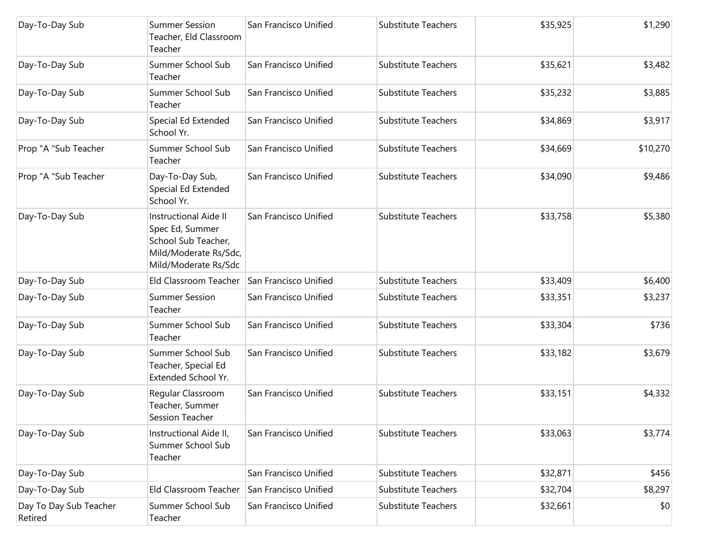| Day-To-Day Sub                    | <b>Summer Session</b><br>Teacher, Eld Classroom<br>Teacher                                                              | San Francisco Unified | <b>Substitute Teachers</b> | \$35,925 | \$1,290  |
|-----------------------------------|-------------------------------------------------------------------------------------------------------------------------|-----------------------|----------------------------|----------|----------|
| Day-To-Day Sub                    | Summer School Sub<br>Teacher                                                                                            | San Francisco Unified | <b>Substitute Teachers</b> | \$35,621 | \$3,482  |
| Day-To-Day Sub                    | Summer School Sub<br>Teacher                                                                                            | San Francisco Unified | <b>Substitute Teachers</b> | \$35,232 | \$3,885  |
| Day-To-Day Sub                    | Special Ed Extended<br>School Yr.                                                                                       | San Francisco Unified | <b>Substitute Teachers</b> | \$34,869 | \$3,917  |
| Prop "A "Sub Teacher              | Summer School Sub<br>Teacher                                                                                            | San Francisco Unified | <b>Substitute Teachers</b> | \$34,669 | \$10,270 |
| Prop "A "Sub Teacher              | Day-To-Day Sub,<br>Special Ed Extended<br>School Yr.                                                                    | San Francisco Unified | <b>Substitute Teachers</b> | \$34,090 | \$9,486  |
| Day-To-Day Sub                    | <b>Instructional Aide II</b><br>Spec Ed, Summer<br>School Sub Teacher,<br>Mild/Moderate Rs/Sdc,<br>Mild/Moderate Rs/Sdc | San Francisco Unified | <b>Substitute Teachers</b> | \$33,758 | \$5,380  |
| Day-To-Day Sub                    | Eld Classroom Teacher                                                                                                   | San Francisco Unified | <b>Substitute Teachers</b> | \$33,409 | \$6,400  |
| Day-To-Day Sub                    | <b>Summer Session</b><br>Teacher                                                                                        | San Francisco Unified | <b>Substitute Teachers</b> | \$33,351 | \$3,237  |
| Day-To-Day Sub                    | Summer School Sub<br>Teacher                                                                                            | San Francisco Unified | <b>Substitute Teachers</b> | \$33,304 | \$736    |
| Day-To-Day Sub                    | Summer School Sub<br>Teacher, Special Ed<br>Extended School Yr.                                                         | San Francisco Unified | <b>Substitute Teachers</b> | \$33,182 | \$3,679  |
| Day-To-Day Sub                    | Regular Classroom<br>Teacher, Summer<br>Session Teacher                                                                 | San Francisco Unified | <b>Substitute Teachers</b> | \$33,151 | \$4,332  |
| Day-To-Day Sub                    | Instructional Aide II,<br>Summer School Sub<br>Teacher                                                                  | San Francisco Unified | <b>Substitute Teachers</b> | \$33,063 | \$3,774  |
| Day-To-Day Sub                    |                                                                                                                         | San Francisco Unified | <b>Substitute Teachers</b> | \$32,871 | \$456    |
| Day-To-Day Sub                    | Eld Classroom Teacher                                                                                                   | San Francisco Unified | <b>Substitute Teachers</b> | \$32,704 | \$8,297  |
| Day To Day Sub Teacher<br>Retired | Summer School Sub<br>Teacher                                                                                            | San Francisco Unified | Substitute Teachers        | \$32,661 | \$0      |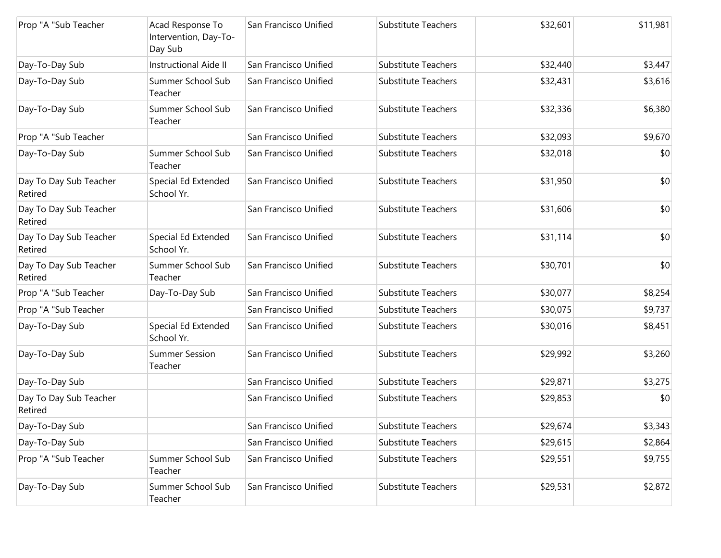| Prop "A "Sub Teacher              | Acad Response To<br>Intervention, Day-To-<br>Day Sub | San Francisco Unified | <b>Substitute Teachers</b> | \$32,601 | \$11,981 |
|-----------------------------------|------------------------------------------------------|-----------------------|----------------------------|----------|----------|
| Day-To-Day Sub                    | Instructional Aide II                                | San Francisco Unified | <b>Substitute Teachers</b> | \$32,440 | \$3,447  |
| Day-To-Day Sub                    | Summer School Sub<br>Teacher                         | San Francisco Unified | <b>Substitute Teachers</b> | \$32,431 | \$3,616  |
| Day-To-Day Sub                    | Summer School Sub<br>Teacher                         | San Francisco Unified | <b>Substitute Teachers</b> | \$32,336 | \$6,380  |
| Prop "A "Sub Teacher              |                                                      | San Francisco Unified | <b>Substitute Teachers</b> | \$32,093 | \$9,670  |
| Day-To-Day Sub                    | Summer School Sub<br>Teacher                         | San Francisco Unified | <b>Substitute Teachers</b> | \$32,018 | \$0      |
| Day To Day Sub Teacher<br>Retired | Special Ed Extended<br>School Yr.                    | San Francisco Unified | <b>Substitute Teachers</b> | \$31,950 | \$0      |
| Day To Day Sub Teacher<br>Retired |                                                      | San Francisco Unified | <b>Substitute Teachers</b> | \$31,606 | \$0      |
| Day To Day Sub Teacher<br>Retired | Special Ed Extended<br>School Yr.                    | San Francisco Unified | <b>Substitute Teachers</b> | \$31,114 | \$0      |
| Day To Day Sub Teacher<br>Retired | Summer School Sub<br>Teacher                         | San Francisco Unified | <b>Substitute Teachers</b> | \$30,701 | \$0      |
| Prop "A "Sub Teacher              | Day-To-Day Sub                                       | San Francisco Unified | <b>Substitute Teachers</b> | \$30,077 | \$8,254  |
| Prop "A "Sub Teacher              |                                                      | San Francisco Unified | <b>Substitute Teachers</b> | \$30,075 | \$9,737  |
| Day-To-Day Sub                    | Special Ed Extended<br>School Yr.                    | San Francisco Unified | <b>Substitute Teachers</b> | \$30,016 | \$8,451  |
| Day-To-Day Sub                    | <b>Summer Session</b><br>Teacher                     | San Francisco Unified | <b>Substitute Teachers</b> | \$29,992 | \$3,260  |
| Day-To-Day Sub                    |                                                      | San Francisco Unified | <b>Substitute Teachers</b> | \$29,871 | \$3,275  |
| Day To Day Sub Teacher<br>Retired |                                                      | San Francisco Unified | <b>Substitute Teachers</b> | \$29,853 | \$0      |
| Day-To-Day Sub                    |                                                      | San Francisco Unified | Substitute Teachers        | \$29,674 | \$3,343  |
| Day-To-Day Sub                    |                                                      | San Francisco Unified | <b>Substitute Teachers</b> | \$29,615 | \$2,864  |
| Prop "A "Sub Teacher              | Summer School Sub<br>Teacher                         | San Francisco Unified | <b>Substitute Teachers</b> | \$29,551 | \$9,755  |
| Day-To-Day Sub                    | Summer School Sub<br>Teacher                         | San Francisco Unified | Substitute Teachers        | \$29,531 | \$2,872  |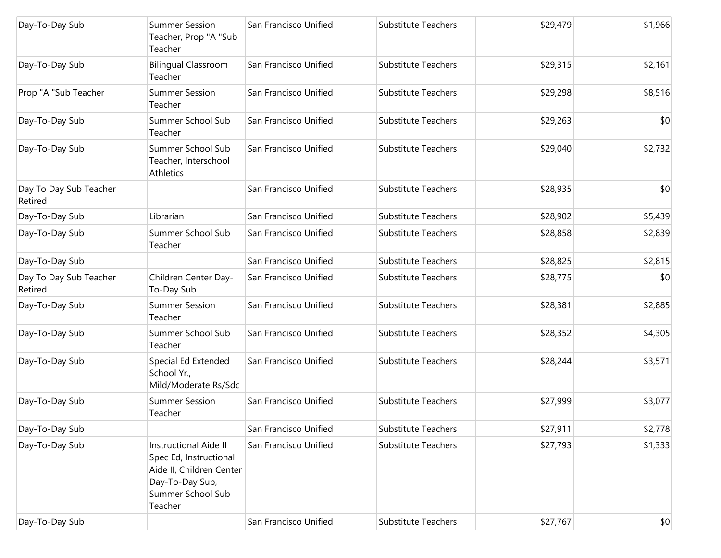| Day-To-Day Sub                    | <b>Summer Session</b><br>Teacher, Prop "A "Sub<br>Teacher                                                                             | San Francisco Unified | <b>Substitute Teachers</b> | \$29,479 | \$1,966 |
|-----------------------------------|---------------------------------------------------------------------------------------------------------------------------------------|-----------------------|----------------------------|----------|---------|
| Day-To-Day Sub                    | <b>Bilingual Classroom</b><br>Teacher                                                                                                 | San Francisco Unified | <b>Substitute Teachers</b> | \$29,315 | \$2,161 |
| Prop "A "Sub Teacher              | <b>Summer Session</b><br>Teacher                                                                                                      | San Francisco Unified | <b>Substitute Teachers</b> | \$29,298 | \$8,516 |
| Day-To-Day Sub                    | Summer School Sub<br>Teacher                                                                                                          | San Francisco Unified | <b>Substitute Teachers</b> | \$29,263 | \$0     |
| Day-To-Day Sub                    | Summer School Sub<br>Teacher, Interschool<br>Athletics                                                                                | San Francisco Unified | <b>Substitute Teachers</b> | \$29,040 | \$2,732 |
| Day To Day Sub Teacher<br>Retired |                                                                                                                                       | San Francisco Unified | <b>Substitute Teachers</b> | \$28,935 | \$0     |
| Day-To-Day Sub                    | Librarian                                                                                                                             | San Francisco Unified | <b>Substitute Teachers</b> | \$28,902 | \$5,439 |
| Day-To-Day Sub                    | Summer School Sub<br>Teacher                                                                                                          | San Francisco Unified | <b>Substitute Teachers</b> | \$28,858 | \$2,839 |
| Day-To-Day Sub                    |                                                                                                                                       | San Francisco Unified | <b>Substitute Teachers</b> | \$28,825 | \$2,815 |
| Day To Day Sub Teacher<br>Retired | Children Center Day-<br>To-Day Sub                                                                                                    | San Francisco Unified | <b>Substitute Teachers</b> | \$28,775 | \$0     |
| Day-To-Day Sub                    | <b>Summer Session</b><br>Teacher                                                                                                      | San Francisco Unified | <b>Substitute Teachers</b> | \$28,381 | \$2,885 |
| Day-To-Day Sub                    | Summer School Sub<br>Teacher                                                                                                          | San Francisco Unified | <b>Substitute Teachers</b> | \$28,352 | \$4,305 |
| Day-To-Day Sub                    | Special Ed Extended<br>School Yr.,<br>Mild/Moderate Rs/Sdc                                                                            | San Francisco Unified | <b>Substitute Teachers</b> | \$28,244 | \$3,571 |
| Day-To-Day Sub                    | <b>Summer Session</b><br>Teacher                                                                                                      | San Francisco Unified | <b>Substitute Teachers</b> | \$27,999 | \$3,077 |
| Day-To-Day Sub                    |                                                                                                                                       | San Francisco Unified | <b>Substitute Teachers</b> | \$27,911 | \$2,778 |
| Day-To-Day Sub                    | <b>Instructional Aide II</b><br>Spec Ed, Instructional<br>Aide II, Children Center<br>Day-To-Day Sub,<br>Summer School Sub<br>Teacher | San Francisco Unified | <b>Substitute Teachers</b> | \$27,793 | \$1,333 |
| Day-To-Day Sub                    |                                                                                                                                       | San Francisco Unified | Substitute Teachers        | \$27,767 | $ $ \$0 |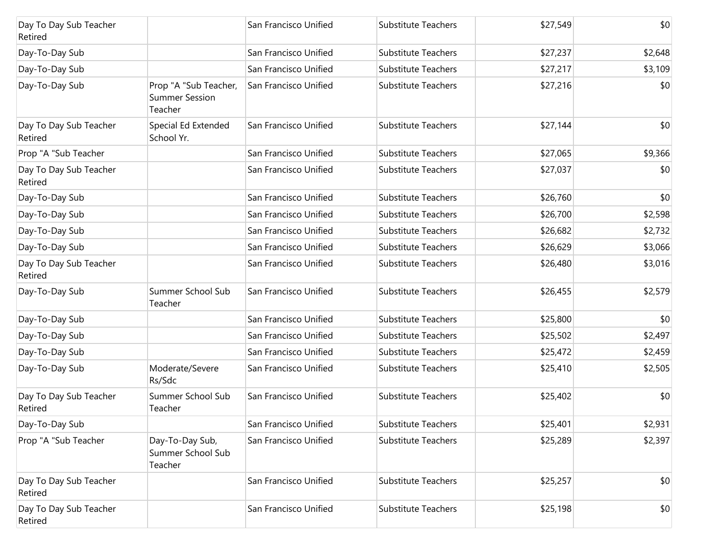| Day To Day Sub Teacher<br>Retired |                                                           | San Francisco Unified | <b>Substitute Teachers</b> | \$27,549 | \$0     |
|-----------------------------------|-----------------------------------------------------------|-----------------------|----------------------------|----------|---------|
| Day-To-Day Sub                    |                                                           | San Francisco Unified | <b>Substitute Teachers</b> | \$27,237 | \$2,648 |
| Day-To-Day Sub                    |                                                           | San Francisco Unified | <b>Substitute Teachers</b> | \$27,217 | \$3,109 |
| Day-To-Day Sub                    | Prop "A "Sub Teacher,<br><b>Summer Session</b><br>Teacher | San Francisco Unified | <b>Substitute Teachers</b> | \$27,216 | \$0     |
| Day To Day Sub Teacher<br>Retired | Special Ed Extended<br>School Yr.                         | San Francisco Unified | <b>Substitute Teachers</b> | \$27,144 | \$0     |
| Prop "A "Sub Teacher              |                                                           | San Francisco Unified | <b>Substitute Teachers</b> | \$27,065 | \$9,366 |
| Day To Day Sub Teacher<br>Retired |                                                           | San Francisco Unified | <b>Substitute Teachers</b> | \$27,037 | \$0     |
| Day-To-Day Sub                    |                                                           | San Francisco Unified | <b>Substitute Teachers</b> | \$26,760 | \$0     |
| Day-To-Day Sub                    |                                                           | San Francisco Unified | <b>Substitute Teachers</b> | \$26,700 | \$2,598 |
| Day-To-Day Sub                    |                                                           | San Francisco Unified | <b>Substitute Teachers</b> | \$26,682 | \$2,732 |
| Day-To-Day Sub                    |                                                           | San Francisco Unified | <b>Substitute Teachers</b> | \$26,629 | \$3,066 |
| Day To Day Sub Teacher<br>Retired |                                                           | San Francisco Unified | <b>Substitute Teachers</b> | \$26,480 | \$3,016 |
| Day-To-Day Sub                    | Summer School Sub<br>Teacher                              | San Francisco Unified | <b>Substitute Teachers</b> | \$26,455 | \$2,579 |
| Day-To-Day Sub                    |                                                           | San Francisco Unified | <b>Substitute Teachers</b> | \$25,800 | \$0     |
| Day-To-Day Sub                    |                                                           | San Francisco Unified | <b>Substitute Teachers</b> | \$25,502 | \$2,497 |
| Day-To-Day Sub                    |                                                           | San Francisco Unified | <b>Substitute Teachers</b> | \$25,472 | \$2,459 |
| Day-To-Day Sub                    | Moderate/Severe<br>Rs/Sdc                                 | San Francisco Unified | <b>Substitute Teachers</b> | \$25,410 | \$2,505 |
| Day To Day Sub Teacher<br>Retired | Summer School Sub<br>Teacher                              | San Francisco Unified | <b>Substitute Teachers</b> | \$25,402 | \$0     |
| Day-To-Day Sub                    |                                                           | San Francisco Unified | Substitute Teachers        | \$25,401 | \$2,931 |
| Prop "A "Sub Teacher              | Day-To-Day Sub,<br>Summer School Sub<br>Teacher           | San Francisco Unified | <b>Substitute Teachers</b> | \$25,289 | \$2,397 |
| Day To Day Sub Teacher<br>Retired |                                                           | San Francisco Unified | <b>Substitute Teachers</b> | \$25,257 | \$0     |
| Day To Day Sub Teacher<br>Retired |                                                           | San Francisco Unified | Substitute Teachers        | \$25,198 | \$0     |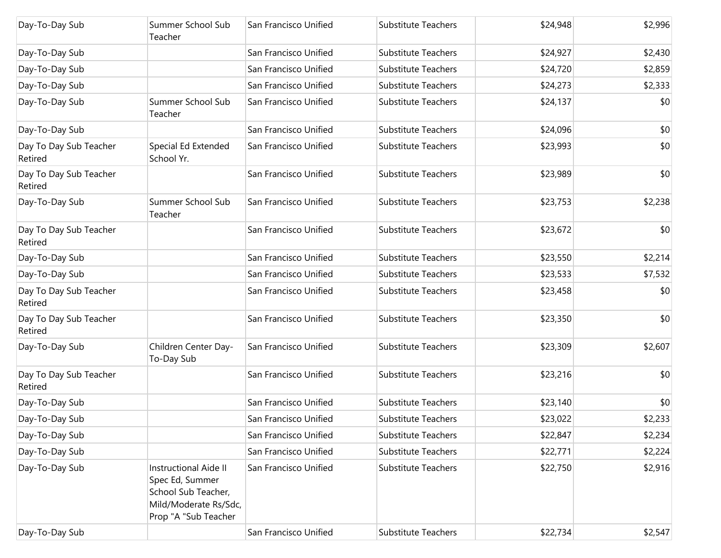| Day-To-Day Sub                    | Summer School Sub<br>Teacher                                                                                     | San Francisco Unified | <b>Substitute Teachers</b> | \$24,948 | \$2,996 |
|-----------------------------------|------------------------------------------------------------------------------------------------------------------|-----------------------|----------------------------|----------|---------|
| Day-To-Day Sub                    |                                                                                                                  | San Francisco Unified | <b>Substitute Teachers</b> | \$24,927 | \$2,430 |
| Day-To-Day Sub                    |                                                                                                                  | San Francisco Unified | <b>Substitute Teachers</b> | \$24,720 | \$2,859 |
| Day-To-Day Sub                    |                                                                                                                  | San Francisco Unified | <b>Substitute Teachers</b> | \$24,273 | \$2,333 |
| Day-To-Day Sub                    | Summer School Sub<br>Teacher                                                                                     | San Francisco Unified | <b>Substitute Teachers</b> | \$24,137 | \$0     |
| Day-To-Day Sub                    |                                                                                                                  | San Francisco Unified | <b>Substitute Teachers</b> | \$24,096 | \$0     |
| Day To Day Sub Teacher<br>Retired | Special Ed Extended<br>School Yr.                                                                                | San Francisco Unified | <b>Substitute Teachers</b> | \$23,993 | \$0     |
| Day To Day Sub Teacher<br>Retired |                                                                                                                  | San Francisco Unified | <b>Substitute Teachers</b> | \$23,989 | \$0     |
| Day-To-Day Sub                    | Summer School Sub<br>Teacher                                                                                     | San Francisco Unified | Substitute Teachers        | \$23,753 | \$2,238 |
| Day To Day Sub Teacher<br>Retired |                                                                                                                  | San Francisco Unified | <b>Substitute Teachers</b> | \$23,672 | \$0     |
| Day-To-Day Sub                    |                                                                                                                  | San Francisco Unified | <b>Substitute Teachers</b> | \$23,550 | \$2,214 |
| Day-To-Day Sub                    |                                                                                                                  | San Francisco Unified | <b>Substitute Teachers</b> | \$23,533 | \$7,532 |
| Day To Day Sub Teacher<br>Retired |                                                                                                                  | San Francisco Unified | <b>Substitute Teachers</b> | \$23,458 | \$0     |
| Day To Day Sub Teacher<br>Retired |                                                                                                                  | San Francisco Unified | <b>Substitute Teachers</b> | \$23,350 | \$0     |
| Day-To-Day Sub                    | Children Center Day-<br>To-Day Sub                                                                               | San Francisco Unified | <b>Substitute Teachers</b> | \$23,309 | \$2,607 |
| Day To Day Sub Teacher<br>Retired |                                                                                                                  | San Francisco Unified | <b>Substitute Teachers</b> | \$23,216 | \$0     |
| Day-To-Day Sub                    |                                                                                                                  | San Francisco Unified | <b>Substitute Teachers</b> | \$23,140 | \$0     |
| Day-To-Day Sub                    |                                                                                                                  | San Francisco Unified | <b>Substitute Teachers</b> | \$23,022 | \$2,233 |
| Day-To-Day Sub                    |                                                                                                                  | San Francisco Unified | <b>Substitute Teachers</b> | \$22,847 | \$2,234 |
| Day-To-Day Sub                    |                                                                                                                  | San Francisco Unified | <b>Substitute Teachers</b> | \$22,771 | \$2,224 |
| Day-To-Day Sub                    | Instructional Aide II<br>Spec Ed, Summer<br>School Sub Teacher,<br>Mild/Moderate Rs/Sdc,<br>Prop "A "Sub Teacher | San Francisco Unified | <b>Substitute Teachers</b> | \$22,750 | \$2,916 |
| Day-To-Day Sub                    |                                                                                                                  | San Francisco Unified | Substitute Teachers        | \$22,734 | \$2,547 |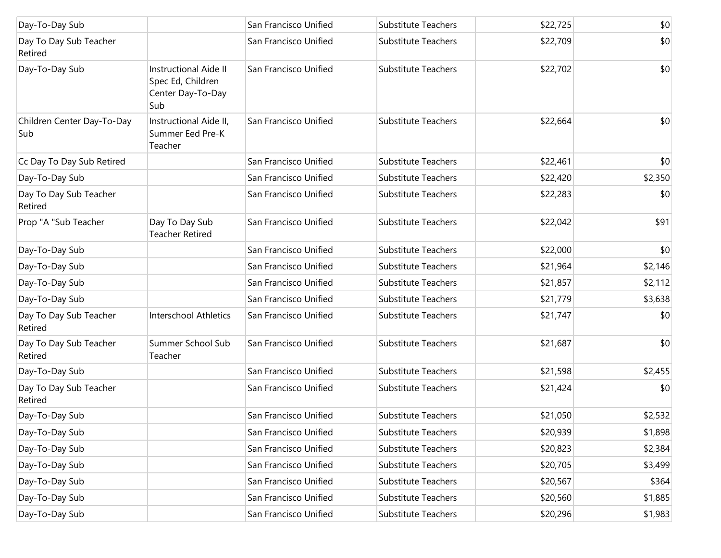| Day-To-Day Sub                    |                                                                               | San Francisco Unified | Substitute Teachers        | \$22,725 | \$0     |
|-----------------------------------|-------------------------------------------------------------------------------|-----------------------|----------------------------|----------|---------|
| Day To Day Sub Teacher<br>Retired |                                                                               | San Francisco Unified | Substitute Teachers        | \$22,709 | \$0     |
| Day-To-Day Sub                    | <b>Instructional Aide II</b><br>Spec Ed, Children<br>Center Day-To-Day<br>Sub | San Francisco Unified | Substitute Teachers        | \$22,702 | \$0     |
| Children Center Day-To-Day<br>Sub | Instructional Aide II,<br>Summer Eed Pre-K<br>Teacher                         | San Francisco Unified | <b>Substitute Teachers</b> | \$22,664 | \$0     |
| Cc Day To Day Sub Retired         |                                                                               | San Francisco Unified | Substitute Teachers        | \$22,461 | \$0     |
| Day-To-Day Sub                    |                                                                               | San Francisco Unified | Substitute Teachers        | \$22,420 | \$2,350 |
| Day To Day Sub Teacher<br>Retired |                                                                               | San Francisco Unified | Substitute Teachers        | \$22,283 | \$0     |
| Prop "A "Sub Teacher              | Day To Day Sub<br><b>Teacher Retired</b>                                      | San Francisco Unified | Substitute Teachers        | \$22,042 | \$91    |
| Day-To-Day Sub                    |                                                                               | San Francisco Unified | <b>Substitute Teachers</b> | \$22,000 | \$0     |
| Day-To-Day Sub                    |                                                                               | San Francisco Unified | <b>Substitute Teachers</b> | \$21,964 | \$2,146 |
| Day-To-Day Sub                    |                                                                               | San Francisco Unified | <b>Substitute Teachers</b> | \$21,857 | \$2,112 |
| Day-To-Day Sub                    |                                                                               | San Francisco Unified | <b>Substitute Teachers</b> | \$21,779 | \$3,638 |
| Day To Day Sub Teacher<br>Retired | <b>Interschool Athletics</b>                                                  | San Francisco Unified | <b>Substitute Teachers</b> | \$21,747 | \$0     |
| Day To Day Sub Teacher<br>Retired | Summer School Sub<br>Teacher                                                  | San Francisco Unified | Substitute Teachers        | \$21,687 | \$0     |
| Day-To-Day Sub                    |                                                                               | San Francisco Unified | <b>Substitute Teachers</b> | \$21,598 | \$2,455 |
| Day To Day Sub Teacher<br>Retired |                                                                               | San Francisco Unified | <b>Substitute Teachers</b> | \$21,424 | \$0     |
| Day-To-Day Sub                    |                                                                               | San Francisco Unified | Substitute Teachers        | \$21,050 | \$2,532 |
| Day-To-Day Sub                    |                                                                               | San Francisco Unified | <b>Substitute Teachers</b> | \$20,939 | \$1,898 |
| Day-To-Day Sub                    |                                                                               | San Francisco Unified | Substitute Teachers        | \$20,823 | \$2,384 |
| Day-To-Day Sub                    |                                                                               | San Francisco Unified | Substitute Teachers        | \$20,705 | \$3,499 |
| Day-To-Day Sub                    |                                                                               | San Francisco Unified | Substitute Teachers        | \$20,567 | \$364   |
| Day-To-Day Sub                    |                                                                               | San Francisco Unified | Substitute Teachers        | \$20,560 | \$1,885 |
| Day-To-Day Sub                    |                                                                               | San Francisco Unified | Substitute Teachers        | \$20,296 | \$1,983 |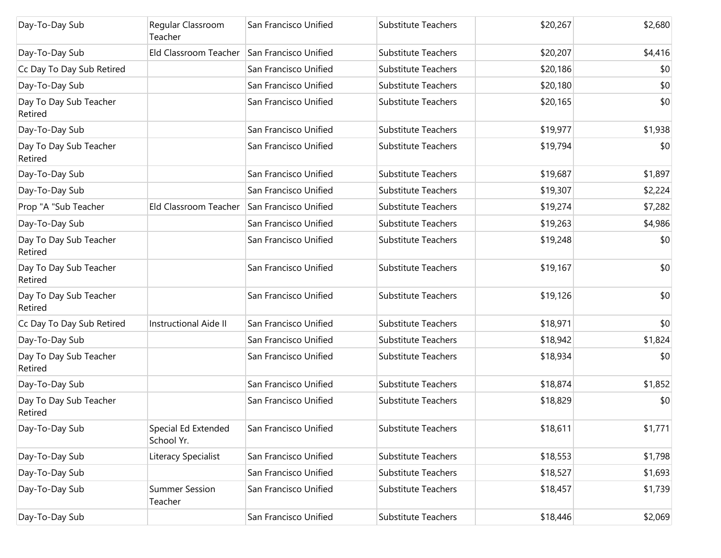| Day-To-Day Sub                    | Regular Classroom<br>Teacher      | San Francisco Unified | <b>Substitute Teachers</b> | \$20,267 | \$2,680 |
|-----------------------------------|-----------------------------------|-----------------------|----------------------------|----------|---------|
| Day-To-Day Sub                    | Eld Classroom Teacher             | San Francisco Unified | <b>Substitute Teachers</b> | \$20,207 | \$4,416 |
| Cc Day To Day Sub Retired         |                                   | San Francisco Unified | <b>Substitute Teachers</b> | \$20,186 | \$0     |
| Day-To-Day Sub                    |                                   | San Francisco Unified | <b>Substitute Teachers</b> | \$20,180 | \$0     |
| Day To Day Sub Teacher<br>Retired |                                   | San Francisco Unified | <b>Substitute Teachers</b> | \$20,165 | \$0     |
| Day-To-Day Sub                    |                                   | San Francisco Unified | Substitute Teachers        | \$19,977 | \$1,938 |
| Day To Day Sub Teacher<br>Retired |                                   | San Francisco Unified | <b>Substitute Teachers</b> | \$19,794 | \$0     |
| Day-To-Day Sub                    |                                   | San Francisco Unified | <b>Substitute Teachers</b> | \$19,687 | \$1,897 |
| Day-To-Day Sub                    |                                   | San Francisco Unified | <b>Substitute Teachers</b> | \$19,307 | \$2,224 |
| Prop "A "Sub Teacher              | Eld Classroom Teacher             | San Francisco Unified | <b>Substitute Teachers</b> | \$19,274 | \$7,282 |
| Day-To-Day Sub                    |                                   | San Francisco Unified | <b>Substitute Teachers</b> | \$19,263 | \$4,986 |
| Day To Day Sub Teacher<br>Retired |                                   | San Francisco Unified | <b>Substitute Teachers</b> | \$19,248 | \$0     |
| Day To Day Sub Teacher<br>Retired |                                   | San Francisco Unified | <b>Substitute Teachers</b> | \$19,167 | \$0     |
| Day To Day Sub Teacher<br>Retired |                                   | San Francisco Unified | <b>Substitute Teachers</b> | \$19,126 | \$0     |
| Cc Day To Day Sub Retired         | <b>Instructional Aide II</b>      | San Francisco Unified | <b>Substitute Teachers</b> | \$18,971 | \$0     |
| Day-To-Day Sub                    |                                   | San Francisco Unified | <b>Substitute Teachers</b> | \$18,942 | \$1,824 |
| Day To Day Sub Teacher<br>Retired |                                   | San Francisco Unified | <b>Substitute Teachers</b> | \$18,934 | \$0     |
| Day-To-Day Sub                    |                                   | San Francisco Unified | <b>Substitute Teachers</b> | \$18,874 | \$1,852 |
| Day To Day Sub Teacher<br>Retired |                                   | San Francisco Unified | <b>Substitute Teachers</b> | \$18,829 | \$0     |
| Day-To-Day Sub                    | Special Ed Extended<br>School Yr. | San Francisco Unified | Substitute Teachers        | \$18,611 | \$1,771 |
| Day-To-Day Sub                    | Literacy Specialist               | San Francisco Unified | Substitute Teachers        | \$18,553 | \$1,798 |
| Day-To-Day Sub                    |                                   | San Francisco Unified | <b>Substitute Teachers</b> | \$18,527 | \$1,693 |
| Day-To-Day Sub                    | <b>Summer Session</b><br>Teacher  | San Francisco Unified | <b>Substitute Teachers</b> | \$18,457 | \$1,739 |
| Day-To-Day Sub                    |                                   | San Francisco Unified | Substitute Teachers        | \$18,446 | \$2,069 |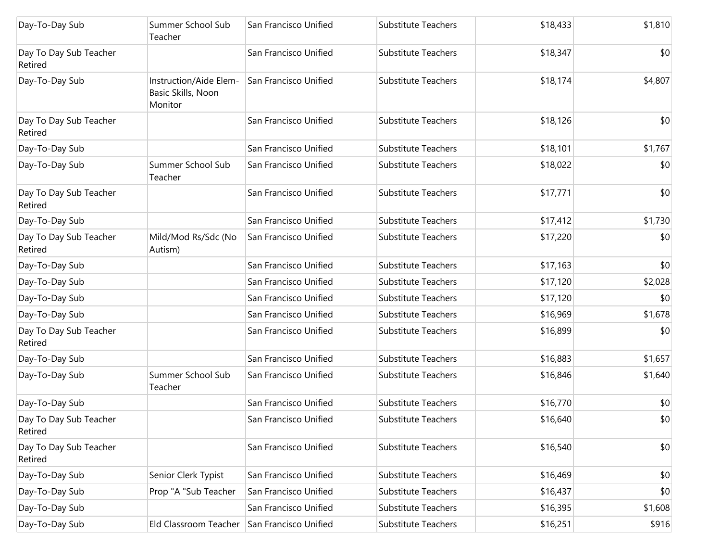| Day-To-Day Sub                    | Summer School Sub<br>Teacher                            | San Francisco Unified | Substitute Teachers        | \$18,433 | \$1,810 |
|-----------------------------------|---------------------------------------------------------|-----------------------|----------------------------|----------|---------|
| Day To Day Sub Teacher<br>Retired |                                                         | San Francisco Unified | Substitute Teachers        | \$18,347 | \$0     |
| Day-To-Day Sub                    | Instruction/Aide Elem-<br>Basic Skills, Noon<br>Monitor | San Francisco Unified | Substitute Teachers        | \$18,174 | \$4,807 |
| Day To Day Sub Teacher<br>Retired |                                                         | San Francisco Unified | <b>Substitute Teachers</b> | \$18,126 | \$0     |
| Day-To-Day Sub                    |                                                         | San Francisco Unified | Substitute Teachers        | \$18,101 | \$1,767 |
| Day-To-Day Sub                    | Summer School Sub<br>Teacher                            | San Francisco Unified | Substitute Teachers        | \$18,022 | \$0     |
| Day To Day Sub Teacher<br>Retired |                                                         | San Francisco Unified | Substitute Teachers        | \$17,771 | \$0     |
| Day-To-Day Sub                    |                                                         | San Francisco Unified | Substitute Teachers        | \$17,412 | \$1,730 |
| Day To Day Sub Teacher<br>Retired | Mild/Mod Rs/Sdc (No<br>Autism)                          | San Francisco Unified | Substitute Teachers        | \$17,220 | \$0     |
| Day-To-Day Sub                    |                                                         | San Francisco Unified | Substitute Teachers        | \$17,163 | \$0     |
| Day-To-Day Sub                    |                                                         | San Francisco Unified | Substitute Teachers        | \$17,120 | \$2,028 |
| Day-To-Day Sub                    |                                                         | San Francisco Unified | Substitute Teachers        | \$17,120 | \$0     |
| Day-To-Day Sub                    |                                                         | San Francisco Unified | Substitute Teachers        | \$16,969 | \$1,678 |
| Day To Day Sub Teacher<br>Retired |                                                         | San Francisco Unified | Substitute Teachers        | \$16,899 | \$0     |
| Day-To-Day Sub                    |                                                         | San Francisco Unified | Substitute Teachers        | \$16,883 | \$1,657 |
| Day-To-Day Sub                    | Summer School Sub<br>Teacher                            | San Francisco Unified | <b>Substitute Teachers</b> | \$16,846 | \$1,640 |
| Day-To-Day Sub                    |                                                         | San Francisco Unified | Substitute Teachers        | \$16,770 | \$0     |
| Day To Day Sub Teacher<br>Retired |                                                         | San Francisco Unified | Substitute Teachers        | \$16,640 | \$0     |
| Day To Day Sub Teacher<br>Retired |                                                         | San Francisco Unified | Substitute Teachers        | \$16,540 | \$0     |
| Day-To-Day Sub                    | Senior Clerk Typist                                     | San Francisco Unified | Substitute Teachers        | \$16,469 | \$0     |
| Day-To-Day Sub                    | Prop "A "Sub Teacher                                    | San Francisco Unified | Substitute Teachers        | \$16,437 | \$0     |
| Day-To-Day Sub                    |                                                         | San Francisco Unified | Substitute Teachers        | \$16,395 | \$1,608 |
| Day-To-Day Sub                    | Eld Classroom Teacher                                   | San Francisco Unified | Substitute Teachers        | \$16,251 | \$916   |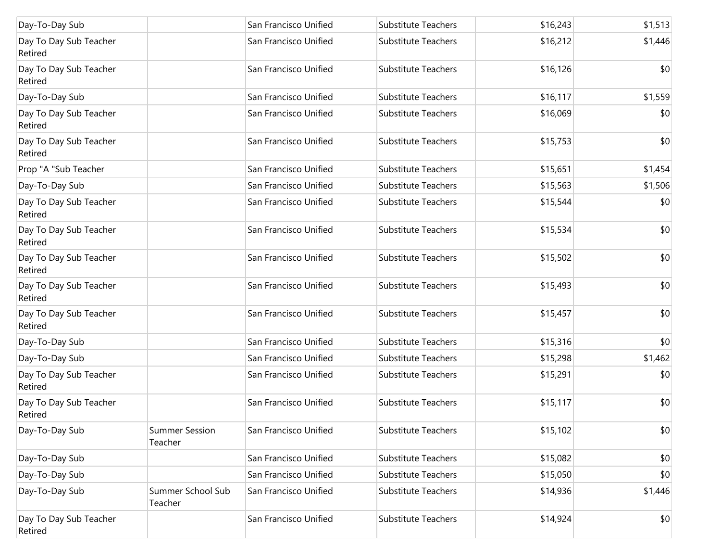| Day-To-Day Sub                    |                                  | San Francisco Unified | Substitute Teachers        | \$16,243 | \$1,513 |
|-----------------------------------|----------------------------------|-----------------------|----------------------------|----------|---------|
| Day To Day Sub Teacher<br>Retired |                                  | San Francisco Unified | Substitute Teachers        | \$16,212 | \$1,446 |
| Day To Day Sub Teacher<br>Retired |                                  | San Francisco Unified | Substitute Teachers        | \$16,126 | \$0     |
| Day-To-Day Sub                    |                                  | San Francisco Unified | Substitute Teachers        | \$16,117 | \$1,559 |
| Day To Day Sub Teacher<br>Retired |                                  | San Francisco Unified | Substitute Teachers        | \$16,069 | \$0     |
| Day To Day Sub Teacher<br>Retired |                                  | San Francisco Unified | Substitute Teachers        | \$15,753 | \$0     |
| Prop "A "Sub Teacher              |                                  | San Francisco Unified | Substitute Teachers        | \$15,651 | \$1,454 |
| Day-To-Day Sub                    |                                  | San Francisco Unified | <b>Substitute Teachers</b> | \$15,563 | \$1,506 |
| Day To Day Sub Teacher<br>Retired |                                  | San Francisco Unified | Substitute Teachers        | \$15,544 | \$0     |
| Day To Day Sub Teacher<br>Retired |                                  | San Francisco Unified | Substitute Teachers        | \$15,534 | \$0     |
| Day To Day Sub Teacher<br>Retired |                                  | San Francisco Unified | Substitute Teachers        | \$15,502 | \$0     |
| Day To Day Sub Teacher<br>Retired |                                  | San Francisco Unified | Substitute Teachers        | \$15,493 | \$0     |
| Day To Day Sub Teacher<br>Retired |                                  | San Francisco Unified | Substitute Teachers        | \$15,457 | \$0     |
| Day-To-Day Sub                    |                                  | San Francisco Unified | Substitute Teachers        | \$15,316 | \$0     |
| Day-To-Day Sub                    |                                  | San Francisco Unified | Substitute Teachers        | \$15,298 | \$1,462 |
| Day To Day Sub Teacher<br>Retired |                                  | San Francisco Unified | Substitute Teachers        | \$15,291 | \$0     |
| Day To Day Sub Teacher<br>Retired |                                  | San Francisco Unified | Substitute Teachers        | \$15,117 | \$0     |
| Day-To-Day Sub                    | <b>Summer Session</b><br>Teacher | San Francisco Unified | Substitute Teachers        | \$15,102 | \$0     |
| Day-To-Day Sub                    |                                  | San Francisco Unified | Substitute Teachers        | \$15,082 | \$0     |
| Day-To-Day Sub                    |                                  | San Francisco Unified | Substitute Teachers        | \$15,050 | \$0     |
| Day-To-Day Sub                    | Summer School Sub<br>Teacher     | San Francisco Unified | Substitute Teachers        | \$14,936 | \$1,446 |
| Day To Day Sub Teacher<br>Retired |                                  | San Francisco Unified | Substitute Teachers        | \$14,924 | \$0     |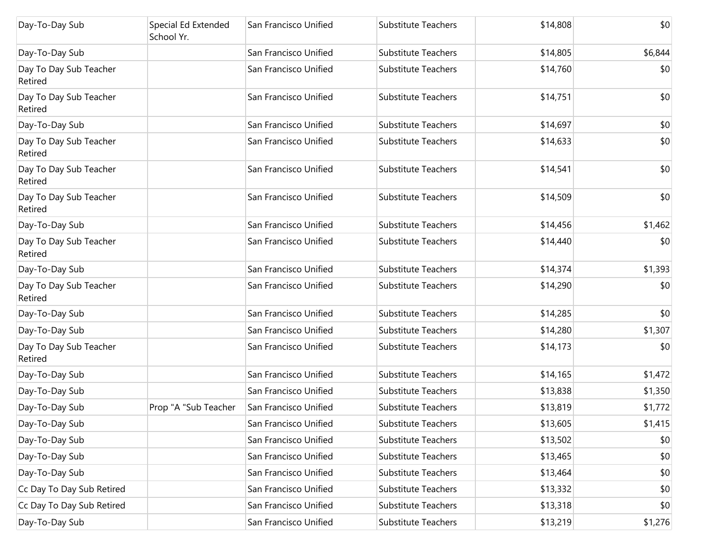| Day-To-Day Sub                    | Special Ed Extended<br>School Yr. | San Francisco Unified | <b>Substitute Teachers</b> | \$14,808 | \$0     |
|-----------------------------------|-----------------------------------|-----------------------|----------------------------|----------|---------|
| Day-To-Day Sub                    |                                   | San Francisco Unified | <b>Substitute Teachers</b> | \$14,805 | \$6,844 |
| Day To Day Sub Teacher<br>Retired |                                   | San Francisco Unified | <b>Substitute Teachers</b> | \$14,760 | \$0     |
| Day To Day Sub Teacher<br>Retired |                                   | San Francisco Unified | <b>Substitute Teachers</b> | \$14,751 | \$0     |
| Day-To-Day Sub                    |                                   | San Francisco Unified | <b>Substitute Teachers</b> | \$14,697 | \$0     |
| Day To Day Sub Teacher<br>Retired |                                   | San Francisco Unified | <b>Substitute Teachers</b> | \$14,633 | \$0     |
| Day To Day Sub Teacher<br>Retired |                                   | San Francisco Unified | <b>Substitute Teachers</b> | \$14,541 | \$0     |
| Day To Day Sub Teacher<br>Retired |                                   | San Francisco Unified | <b>Substitute Teachers</b> | \$14,509 | \$0     |
| Day-To-Day Sub                    |                                   | San Francisco Unified | <b>Substitute Teachers</b> | \$14,456 | \$1,462 |
| Day To Day Sub Teacher<br>Retired |                                   | San Francisco Unified | <b>Substitute Teachers</b> | \$14,440 | \$0     |
| Day-To-Day Sub                    |                                   | San Francisco Unified | <b>Substitute Teachers</b> | \$14,374 | \$1,393 |
| Day To Day Sub Teacher<br>Retired |                                   | San Francisco Unified | <b>Substitute Teachers</b> | \$14,290 | \$0     |
| Day-To-Day Sub                    |                                   | San Francisco Unified | <b>Substitute Teachers</b> | \$14,285 | \$0     |
| Day-To-Day Sub                    |                                   | San Francisco Unified | <b>Substitute Teachers</b> | \$14,280 | \$1,307 |
| Day To Day Sub Teacher<br>Retired |                                   | San Francisco Unified | <b>Substitute Teachers</b> | \$14,173 | \$0     |
| Day-To-Day Sub                    |                                   | San Francisco Unified | <b>Substitute Teachers</b> | \$14,165 | \$1,472 |
| Day-To-Day Sub                    |                                   | San Francisco Unified | <b>Substitute Teachers</b> | \$13,838 | \$1,350 |
| Day-To-Day Sub                    | Prop "A "Sub Teacher              | San Francisco Unified | <b>Substitute Teachers</b> | \$13,819 | \$1,772 |
| Day-To-Day Sub                    |                                   | San Francisco Unified | Substitute Teachers        | \$13,605 | \$1,415 |
| Day-To-Day Sub                    |                                   | San Francisco Unified | <b>Substitute Teachers</b> | \$13,502 | \$0     |
| Day-To-Day Sub                    |                                   | San Francisco Unified | Substitute Teachers        | \$13,465 | \$0     |
| Day-To-Day Sub                    |                                   | San Francisco Unified | Substitute Teachers        | \$13,464 | \$0     |
| Cc Day To Day Sub Retired         |                                   | San Francisco Unified | Substitute Teachers        | \$13,332 | \$0     |
| Cc Day To Day Sub Retired         |                                   | San Francisco Unified | Substitute Teachers        | \$13,318 | \$0     |
| Day-To-Day Sub                    |                                   | San Francisco Unified | Substitute Teachers        | \$13,219 | \$1,276 |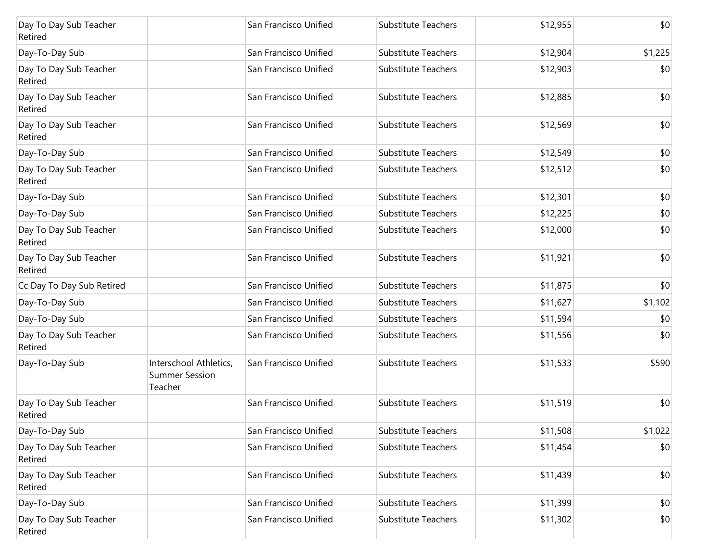| Day To Day Sub Teacher<br>Retired |                                                            | San Francisco Unified | <b>Substitute Teachers</b> | \$12,955 | \$0     |
|-----------------------------------|------------------------------------------------------------|-----------------------|----------------------------|----------|---------|
| Day-To-Day Sub                    |                                                            | San Francisco Unified | <b>Substitute Teachers</b> | \$12,904 | \$1,225 |
| Day To Day Sub Teacher<br>Retired |                                                            | San Francisco Unified | <b>Substitute Teachers</b> | \$12,903 | \$0     |
| Day To Day Sub Teacher<br>Retired |                                                            | San Francisco Unified | <b>Substitute Teachers</b> | \$12,885 | \$0     |
| Day To Day Sub Teacher<br>Retired |                                                            | San Francisco Unified | Substitute Teachers        | \$12,569 | \$0     |
| Day-To-Day Sub                    |                                                            | San Francisco Unified | <b>Substitute Teachers</b> | \$12,549 | \$0     |
| Day To Day Sub Teacher<br>Retired |                                                            | San Francisco Unified | <b>Substitute Teachers</b> | \$12,512 | \$0     |
| Day-To-Day Sub                    |                                                            | San Francisco Unified | <b>Substitute Teachers</b> | \$12,301 | \$0     |
| Day-To-Day Sub                    |                                                            | San Francisco Unified | <b>Substitute Teachers</b> | \$12,225 | \$0     |
| Day To Day Sub Teacher<br>Retired |                                                            | San Francisco Unified | <b>Substitute Teachers</b> | \$12,000 | \$0     |
| Day To Day Sub Teacher<br>Retired |                                                            | San Francisco Unified | <b>Substitute Teachers</b> | \$11,921 | \$0     |
| Cc Day To Day Sub Retired         |                                                            | San Francisco Unified | <b>Substitute Teachers</b> | \$11,875 | \$0     |
| Day-To-Day Sub                    |                                                            | San Francisco Unified | <b>Substitute Teachers</b> | \$11,627 | \$1,102 |
| Day-To-Day Sub                    |                                                            | San Francisco Unified | <b>Substitute Teachers</b> | \$11,594 | \$0     |
| Day To Day Sub Teacher<br>Retired |                                                            | San Francisco Unified | <b>Substitute Teachers</b> | \$11,556 | \$0     |
| Day-To-Day Sub                    | Interschool Athletics,<br><b>Summer Session</b><br>Teacher | San Francisco Unified | <b>Substitute Teachers</b> | \$11,533 | \$590   |
| Day To Day Sub Teacher<br>Retired |                                                            | San Francisco Unified | <b>Substitute Teachers</b> | \$11,519 | \$0     |
| Day-To-Day Sub                    |                                                            | San Francisco Unified | <b>Substitute Teachers</b> | \$11,508 | \$1,022 |
| Day To Day Sub Teacher<br>Retired |                                                            | San Francisco Unified | <b>Substitute Teachers</b> | \$11,454 | \$0     |
| Day To Day Sub Teacher<br>Retired |                                                            | San Francisco Unified | Substitute Teachers        | \$11,439 | \$0     |
| Day-To-Day Sub                    |                                                            | San Francisco Unified | <b>Substitute Teachers</b> | \$11,399 | \$0     |
| Day To Day Sub Teacher<br>Retired |                                                            | San Francisco Unified | <b>Substitute Teachers</b> | \$11,302 | \$0     |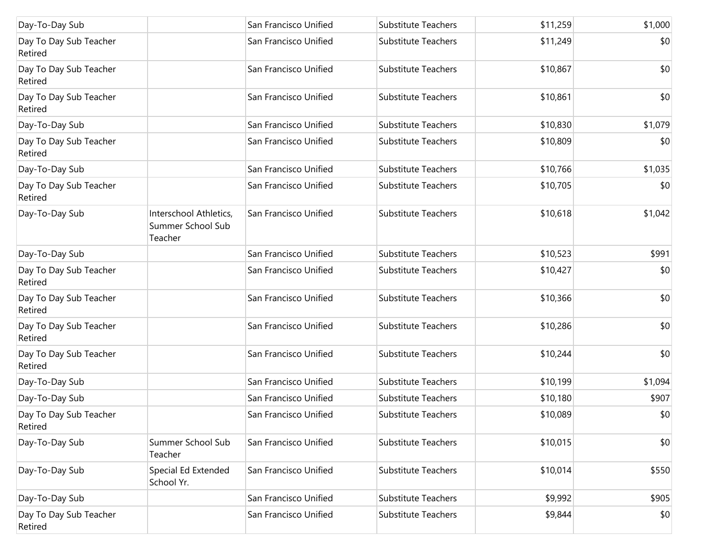| Day-To-Day Sub                    |                                                        | San Francisco Unified | Substitute Teachers        | \$11,259 | \$1,000 |
|-----------------------------------|--------------------------------------------------------|-----------------------|----------------------------|----------|---------|
| Day To Day Sub Teacher<br>Retired |                                                        | San Francisco Unified | <b>Substitute Teachers</b> | \$11,249 | \$0     |
| Day To Day Sub Teacher<br>Retired |                                                        | San Francisco Unified | Substitute Teachers        | \$10,867 | \$0     |
| Day To Day Sub Teacher<br>Retired |                                                        | San Francisco Unified | <b>Substitute Teachers</b> | \$10,861 | \$0     |
| Day-To-Day Sub                    |                                                        | San Francisco Unified | Substitute Teachers        | \$10,830 | \$1,079 |
| Day To Day Sub Teacher<br>Retired |                                                        | San Francisco Unified | <b>Substitute Teachers</b> | \$10,809 | \$0     |
| Day-To-Day Sub                    |                                                        | San Francisco Unified | Substitute Teachers        | \$10,766 | \$1,035 |
| Day To Day Sub Teacher<br>Retired |                                                        | San Francisco Unified | <b>Substitute Teachers</b> | \$10,705 | \$0     |
| Day-To-Day Sub                    | Interschool Athletics,<br>Summer School Sub<br>Teacher | San Francisco Unified | Substitute Teachers        | \$10,618 | \$1,042 |
| Day-To-Day Sub                    |                                                        | San Francisco Unified | Substitute Teachers        | \$10,523 | \$991   |
| Day To Day Sub Teacher<br>Retired |                                                        | San Francisco Unified | Substitute Teachers        | \$10,427 | \$0     |
| Day To Day Sub Teacher<br>Retired |                                                        | San Francisco Unified | <b>Substitute Teachers</b> | \$10,366 | \$0     |
| Day To Day Sub Teacher<br>Retired |                                                        | San Francisco Unified | Substitute Teachers        | \$10,286 | \$0     |
| Day To Day Sub Teacher<br>Retired |                                                        | San Francisco Unified | Substitute Teachers        | \$10,244 | \$0     |
| Day-To-Day Sub                    |                                                        | San Francisco Unified | Substitute Teachers        | \$10,199 | \$1,094 |
| Day-To-Day Sub                    |                                                        | San Francisco Unified | Substitute Teachers        | \$10,180 | \$907   |
| Day To Day Sub Teacher<br>Retired |                                                        | San Francisco Unified | Substitute Teachers        | \$10,089 | \$0     |
| Day-To-Day Sub                    | Summer School Sub<br>Teacher                           | San Francisco Unified | Substitute Teachers        | \$10,015 | \$0     |
| Day-To-Day Sub                    | Special Ed Extended<br>School Yr.                      | San Francisco Unified | <b>Substitute Teachers</b> | \$10,014 | \$550   |
| Day-To-Day Sub                    |                                                        | San Francisco Unified | <b>Substitute Teachers</b> | \$9,992  | \$905   |
| Day To Day Sub Teacher<br>Retired |                                                        | San Francisco Unified | Substitute Teachers        | \$9,844  | \$0     |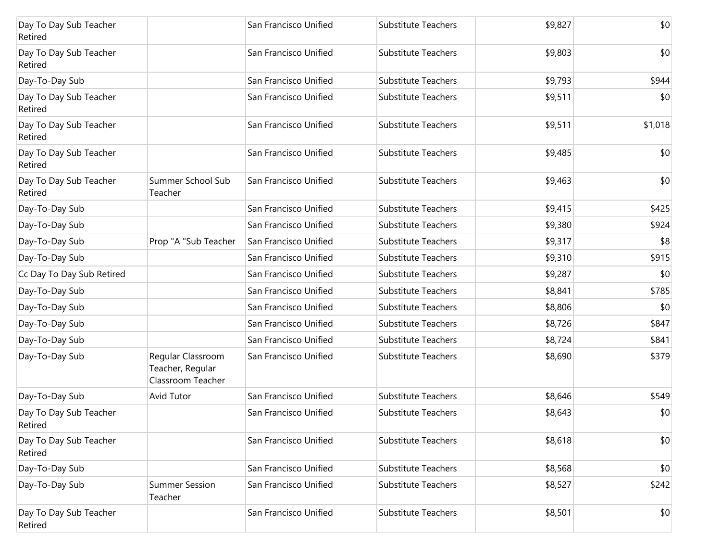| Day To Day Sub Teacher<br>Retired |                                                            | San Francisco Unified | Substitute Teachers        | \$9,827 | \$0     |
|-----------------------------------|------------------------------------------------------------|-----------------------|----------------------------|---------|---------|
| Day To Day Sub Teacher<br>Retired |                                                            | San Francisco Unified | Substitute Teachers        | \$9,803 | \$0     |
| Day-To-Day Sub                    |                                                            | San Francisco Unified | Substitute Teachers        | \$9,793 | \$944   |
| Day To Day Sub Teacher<br>Retired |                                                            | San Francisco Unified | Substitute Teachers        | \$9,511 | \$0     |
| Day To Day Sub Teacher<br>Retired |                                                            | San Francisco Unified | Substitute Teachers        | \$9,511 | \$1,018 |
| Day To Day Sub Teacher<br>Retired |                                                            | San Francisco Unified | <b>Substitute Teachers</b> | \$9,485 | \$0     |
| Day To Day Sub Teacher<br>Retired | Summer School Sub<br>Teacher                               | San Francisco Unified | Substitute Teachers        | \$9,463 | \$0     |
| Day-To-Day Sub                    |                                                            | San Francisco Unified | Substitute Teachers        | \$9,415 | \$425   |
| Day-To-Day Sub                    |                                                            | San Francisco Unified | Substitute Teachers        | \$9,380 | \$924   |
| Day-To-Day Sub                    | Prop "A "Sub Teacher                                       | San Francisco Unified | <b>Substitute Teachers</b> | \$9,317 | \$8     |
| Day-To-Day Sub                    |                                                            | San Francisco Unified | <b>Substitute Teachers</b> | \$9,310 | \$915   |
| Cc Day To Day Sub Retired         |                                                            | San Francisco Unified | <b>Substitute Teachers</b> | \$9,287 | \$0     |
| Day-To-Day Sub                    |                                                            | San Francisco Unified | <b>Substitute Teachers</b> | \$8,841 | \$785   |
| Day-To-Day Sub                    |                                                            | San Francisco Unified | <b>Substitute Teachers</b> | \$8,806 | \$0     |
| Day-To-Day Sub                    |                                                            | San Francisco Unified | <b>Substitute Teachers</b> | \$8,726 | \$847   |
| Day-To-Day Sub                    |                                                            | San Francisco Unified | <b>Substitute Teachers</b> | \$8,724 | \$841   |
| Day-To-Day Sub                    | Regular Classroom<br>Teacher, Regular<br>Classroom Teacher | San Francisco Unified | <b>Substitute Teachers</b> | \$8,690 | \$379   |
| Day-To-Day Sub                    | Avid Tutor                                                 | San Francisco Unified | Substitute Teachers        | \$8,646 | \$549   |
| Day To Day Sub Teacher<br>Retired |                                                            | San Francisco Unified | Substitute Teachers        | \$8,643 | \$0     |
| Day To Day Sub Teacher<br>Retired |                                                            | San Francisco Unified | Substitute Teachers        | \$8,618 | \$0     |
| Day-To-Day Sub                    |                                                            | San Francisco Unified | <b>Substitute Teachers</b> | \$8,568 | \$0     |
| Day-To-Day Sub                    | <b>Summer Session</b><br>Teacher                           | San Francisco Unified | <b>Substitute Teachers</b> | \$8,527 | \$242   |
| Day To Day Sub Teacher<br>Retired |                                                            | San Francisco Unified | <b>Substitute Teachers</b> | \$8,501 | \$0     |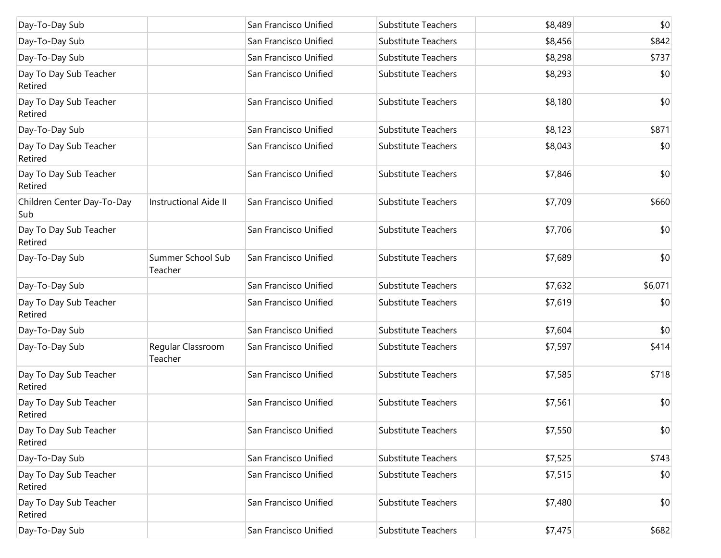| Day-To-Day Sub                    |                              | San Francisco Unified | Substitute Teachers        | \$8,489 | \$0     |
|-----------------------------------|------------------------------|-----------------------|----------------------------|---------|---------|
| Day-To-Day Sub                    |                              | San Francisco Unified | Substitute Teachers        | \$8,456 | \$842   |
| Day-To-Day Sub                    |                              | San Francisco Unified | Substitute Teachers        | \$8,298 | \$737   |
| Day To Day Sub Teacher<br>Retired |                              | San Francisco Unified | Substitute Teachers        | \$8,293 | \$0     |
| Day To Day Sub Teacher<br>Retired |                              | San Francisco Unified | Substitute Teachers        | \$8,180 | \$0     |
| Day-To-Day Sub                    |                              | San Francisco Unified | Substitute Teachers        | \$8,123 | \$871   |
| Day To Day Sub Teacher<br>Retired |                              | San Francisco Unified | Substitute Teachers        | \$8,043 | \$0     |
| Day To Day Sub Teacher<br>Retired |                              | San Francisco Unified | Substitute Teachers        | \$7,846 | \$0     |
| Children Center Day-To-Day<br>Sub | <b>Instructional Aide II</b> | San Francisco Unified | Substitute Teachers        | \$7,709 | \$660   |
| Day To Day Sub Teacher<br>Retired |                              | San Francisco Unified | Substitute Teachers        | \$7,706 | \$0     |
| Day-To-Day Sub                    | Summer School Sub<br>Teacher | San Francisco Unified | Substitute Teachers        | \$7,689 | \$0     |
| Day-To-Day Sub                    |                              | San Francisco Unified | Substitute Teachers        | \$7,632 | \$6,071 |
| Day To Day Sub Teacher<br>Retired |                              | San Francisco Unified | Substitute Teachers        | \$7,619 | \$0     |
| Day-To-Day Sub                    |                              | San Francisco Unified | Substitute Teachers        | \$7,604 | \$0     |
| Day-To-Day Sub                    | Regular Classroom<br>Teacher | San Francisco Unified | Substitute Teachers        | \$7,597 | \$414   |
| Day To Day Sub Teacher<br>Retired |                              | San Francisco Unified | Substitute Teachers        | \$7,585 | \$718   |
| Day To Day Sub Teacher<br>Retired |                              | San Francisco Unified | Substitute Teachers        | \$7,561 | \$0     |
| Day To Day Sub Teacher<br>Retired |                              | San Francisco Unified | Substitute Teachers        | \$7,550 | \$0     |
| Day-To-Day Sub                    |                              | San Francisco Unified | Substitute Teachers        | \$7,525 | \$743   |
| Day To Day Sub Teacher<br>Retired |                              | San Francisco Unified | Substitute Teachers        | \$7,515 | \$0     |
| Day To Day Sub Teacher<br>Retired |                              | San Francisco Unified | <b>Substitute Teachers</b> | \$7,480 | \$0     |
| Day-To-Day Sub                    |                              | San Francisco Unified | Substitute Teachers        | \$7,475 | \$682   |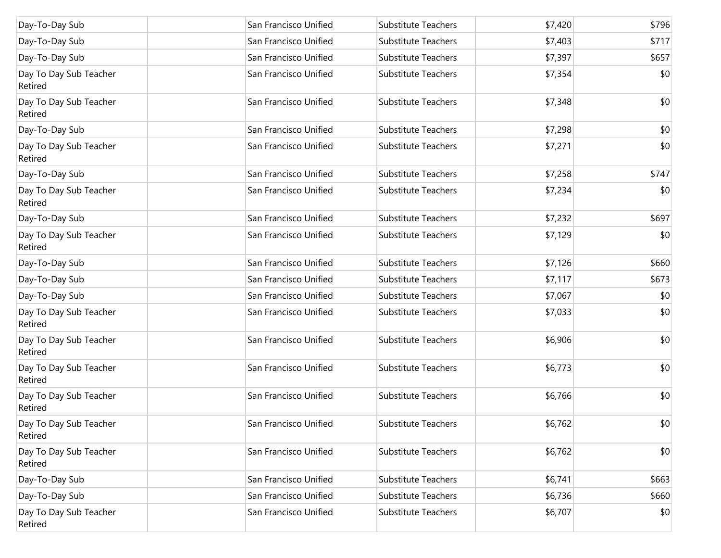| Day-To-Day Sub                    | San Francisco Unified | Substitute Teachers        | \$7,420 | \$796 |
|-----------------------------------|-----------------------|----------------------------|---------|-------|
| Day-To-Day Sub                    | San Francisco Unified | <b>Substitute Teachers</b> | \$7,403 | \$717 |
| Day-To-Day Sub                    | San Francisco Unified | Substitute Teachers        | \$7,397 | \$657 |
| Day To Day Sub Teacher<br>Retired | San Francisco Unified | <b>Substitute Teachers</b> | \$7,354 | \$0   |
| Day To Day Sub Teacher<br>Retired | San Francisco Unified | Substitute Teachers        | \$7,348 | \$0   |
| Day-To-Day Sub                    | San Francisco Unified | Substitute Teachers        | \$7,298 | \$0   |
| Day To Day Sub Teacher<br>Retired | San Francisco Unified | <b>Substitute Teachers</b> | \$7,271 | \$0   |
| Day-To-Day Sub                    | San Francisco Unified | <b>Substitute Teachers</b> | \$7,258 | \$747 |
| Day To Day Sub Teacher<br>Retired | San Francisco Unified | <b>Substitute Teachers</b> | \$7,234 | \$0   |
| Day-To-Day Sub                    | San Francisco Unified | Substitute Teachers        | \$7,232 | \$697 |
| Day To Day Sub Teacher<br>Retired | San Francisco Unified | Substitute Teachers        | \$7,129 | \$0   |
| Day-To-Day Sub                    | San Francisco Unified | Substitute Teachers        | \$7,126 | \$660 |
| Day-To-Day Sub                    | San Francisco Unified | Substitute Teachers        | \$7,117 | \$673 |
| Day-To-Day Sub                    | San Francisco Unified | Substitute Teachers        | \$7,067 | \$0   |
| Day To Day Sub Teacher<br>Retired | San Francisco Unified | Substitute Teachers        | \$7,033 | \$0   |
| Day To Day Sub Teacher<br>Retired | San Francisco Unified | <b>Substitute Teachers</b> | \$6,906 | \$0   |
| Day To Day Sub Teacher<br>Retired | San Francisco Unified | <b>Substitute Teachers</b> | \$6,773 | \$0   |
| Day To Day Sub Teacher<br>Retired | San Francisco Unified | Substitute Teachers        | \$6,766 | \$0   |
| Day To Day Sub Teacher<br>Retired | San Francisco Unified | Substitute Teachers        | \$6,762 | \$0   |
| Day To Day Sub Teacher<br>Retired | San Francisco Unified | Substitute Teachers        | \$6,762 | \$0   |
| Day-To-Day Sub                    | San Francisco Unified | Substitute Teachers        | \$6,741 | \$663 |
| Day-To-Day Sub                    | San Francisco Unified | Substitute Teachers        | \$6,736 | \$660 |
| Day To Day Sub Teacher<br>Retired | San Francisco Unified | Substitute Teachers        | \$6,707 | \$0   |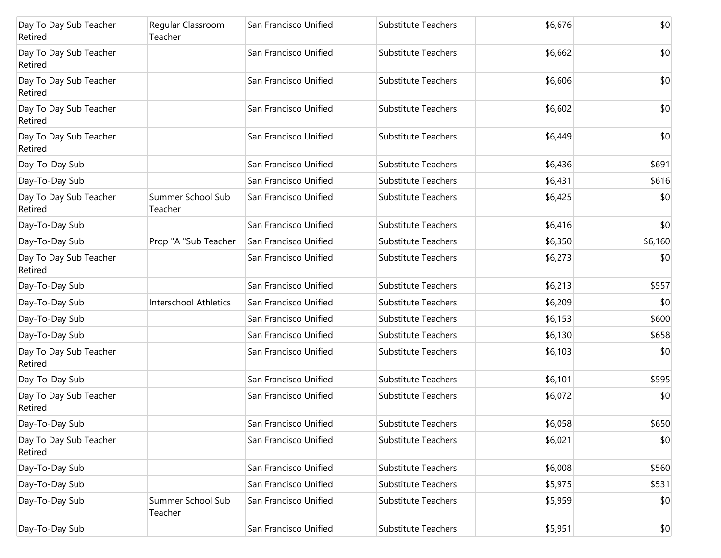| Day To Day Sub Teacher<br>Retired | Regular Classroom<br>Teacher | San Francisco Unified | <b>Substitute Teachers</b> | \$6,676 | \$0          |
|-----------------------------------|------------------------------|-----------------------|----------------------------|---------|--------------|
| Day To Day Sub Teacher<br>Retired |                              | San Francisco Unified | <b>Substitute Teachers</b> | \$6,662 | \$0          |
| Day To Day Sub Teacher<br>Retired |                              | San Francisco Unified | <b>Substitute Teachers</b> | \$6,606 | \$0          |
| Day To Day Sub Teacher<br>Retired |                              | San Francisco Unified | <b>Substitute Teachers</b> | \$6,602 | \$0          |
| Day To Day Sub Teacher<br>Retired |                              | San Francisco Unified | <b>Substitute Teachers</b> | \$6,449 | \$0          |
| Day-To-Day Sub                    |                              | San Francisco Unified | <b>Substitute Teachers</b> | \$6,436 | \$691        |
| Day-To-Day Sub                    |                              | San Francisco Unified | <b>Substitute Teachers</b> | \$6,431 | \$616        |
| Day To Day Sub Teacher<br>Retired | Summer School Sub<br>Teacher | San Francisco Unified | <b>Substitute Teachers</b> | \$6,425 | \$0          |
| Day-To-Day Sub                    |                              | San Francisco Unified | <b>Substitute Teachers</b> | \$6,416 | \$0          |
| Day-To-Day Sub                    | Prop "A "Sub Teacher         | San Francisco Unified | <b>Substitute Teachers</b> | \$6,350 | \$6,160      |
| Day To Day Sub Teacher<br>Retired |                              | San Francisco Unified | <b>Substitute Teachers</b> | \$6,273 | \$0          |
| Day-To-Day Sub                    |                              | San Francisco Unified | <b>Substitute Teachers</b> | \$6,213 | \$557        |
| Day-To-Day Sub                    | <b>Interschool Athletics</b> | San Francisco Unified | <b>Substitute Teachers</b> | \$6,209 | \$0          |
| Day-To-Day Sub                    |                              | San Francisco Unified | <b>Substitute Teachers</b> | \$6,153 | \$600        |
| Day-To-Day Sub                    |                              | San Francisco Unified | <b>Substitute Teachers</b> | \$6,130 | \$658        |
| Day To Day Sub Teacher<br>Retired |                              | San Francisco Unified | <b>Substitute Teachers</b> | \$6,103 | \$0          |
| Day-To-Day Sub                    |                              | San Francisco Unified | <b>Substitute Teachers</b> | \$6,101 | \$595        |
| Day To Day Sub Teacher<br>Retired |                              | San Francisco Unified | <b>Substitute Teachers</b> | \$6,072 | \$0          |
| Day-To-Day Sub                    |                              | San Francisco Unified | <b>Substitute Teachers</b> | \$6,058 | \$650        |
| Day To Day Sub Teacher<br>Retired |                              | San Francisco Unified | Substitute Teachers        | \$6,021 | \$0          |
| Day-To-Day Sub                    |                              | San Francisco Unified | <b>Substitute Teachers</b> | \$6,008 | \$560        |
| Day-To-Day Sub                    |                              | San Francisco Unified | <b>Substitute Teachers</b> | \$5,975 | \$531        |
| Day-To-Day Sub                    | Summer School Sub<br>Teacher | San Francisco Unified | <b>Substitute Teachers</b> | \$5,959 | \$0          |
| Day-To-Day Sub                    |                              | San Francisco Unified | Substitute Teachers        | \$5,951 | $ 10\rangle$ |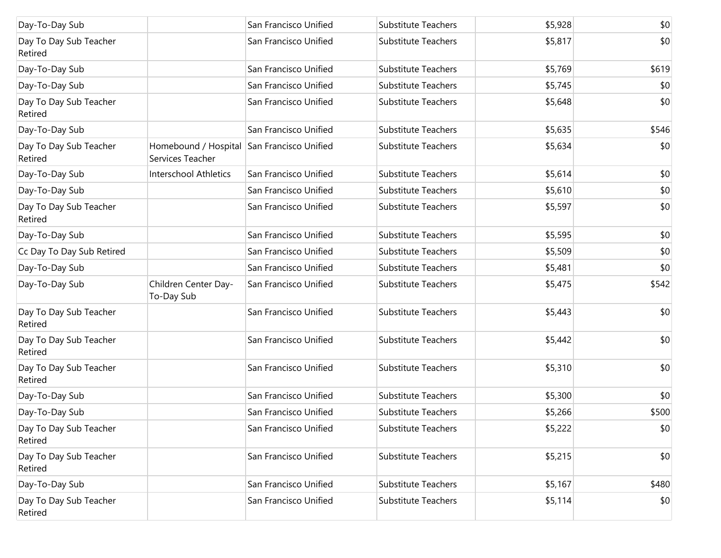| Day-To-Day Sub                    |                                                                | San Francisco Unified | <b>Substitute Teachers</b> | \$5,928 | \$0   |
|-----------------------------------|----------------------------------------------------------------|-----------------------|----------------------------|---------|-------|
| Day To Day Sub Teacher<br>Retired |                                                                | San Francisco Unified | <b>Substitute Teachers</b> | \$5,817 | \$0   |
| Day-To-Day Sub                    |                                                                | San Francisco Unified | <b>Substitute Teachers</b> | \$5,769 | \$619 |
| Day-To-Day Sub                    |                                                                | San Francisco Unified | <b>Substitute Teachers</b> | \$5,745 | \$0   |
| Day To Day Sub Teacher<br>Retired |                                                                | San Francisco Unified | <b>Substitute Teachers</b> | \$5,648 | \$0   |
| Day-To-Day Sub                    |                                                                | San Francisco Unified | <b>Substitute Teachers</b> | \$5,635 | \$546 |
| Day To Day Sub Teacher<br>Retired | Homebound / Hospital San Francisco Unified<br>Services Teacher |                       | <b>Substitute Teachers</b> | \$5,634 | \$0   |
| Day-To-Day Sub                    | Interschool Athletics                                          | San Francisco Unified | <b>Substitute Teachers</b> | \$5,614 | \$0   |
| Day-To-Day Sub                    |                                                                | San Francisco Unified | <b>Substitute Teachers</b> | \$5,610 | \$0   |
| Day To Day Sub Teacher<br>Retired |                                                                | San Francisco Unified | <b>Substitute Teachers</b> | \$5,597 | \$0   |
| Day-To-Day Sub                    |                                                                | San Francisco Unified | <b>Substitute Teachers</b> | \$5,595 | \$0   |
| Cc Day To Day Sub Retired         |                                                                | San Francisco Unified | <b>Substitute Teachers</b> | \$5,509 | \$0   |
| Day-To-Day Sub                    |                                                                | San Francisco Unified | <b>Substitute Teachers</b> | \$5,481 | \$0   |
| Day-To-Day Sub                    | Children Center Day-<br>To-Day Sub                             | San Francisco Unified | <b>Substitute Teachers</b> | \$5,475 | \$542 |
| Day To Day Sub Teacher<br>Retired |                                                                | San Francisco Unified | <b>Substitute Teachers</b> | \$5,443 | \$0   |
| Day To Day Sub Teacher<br>Retired |                                                                | San Francisco Unified | <b>Substitute Teachers</b> | \$5,442 | \$0   |
| Day To Day Sub Teacher<br>Retired |                                                                | San Francisco Unified | <b>Substitute Teachers</b> | \$5,310 | \$0   |
| Day-To-Day Sub                    |                                                                | San Francisco Unified | <b>Substitute Teachers</b> | \$5,300 | \$0   |
| Day-To-Day Sub                    |                                                                | San Francisco Unified | <b>Substitute Teachers</b> | \$5,266 | \$500 |
| Day To Day Sub Teacher<br>Retired |                                                                | San Francisco Unified | Substitute Teachers        | \$5,222 | \$0   |
| Day To Day Sub Teacher<br>Retired |                                                                | San Francisco Unified | Substitute Teachers        | \$5,215 | \$0   |
| Day-To-Day Sub                    |                                                                | San Francisco Unified | <b>Substitute Teachers</b> | \$5,167 | \$480 |
| Day To Day Sub Teacher<br>Retired |                                                                | San Francisco Unified | <b>Substitute Teachers</b> | \$5,114 | \$0   |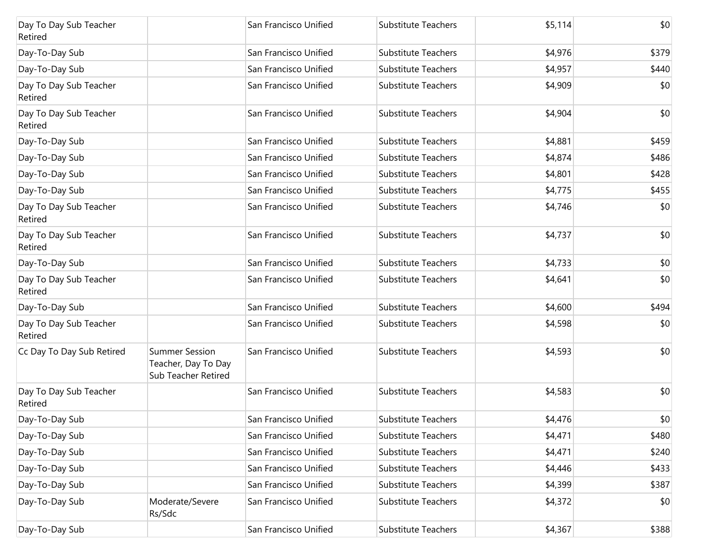| Day To Day Sub Teacher<br>Retired |                                                                     | San Francisco Unified | Substitute Teachers        | \$5,114 | \$0   |
|-----------------------------------|---------------------------------------------------------------------|-----------------------|----------------------------|---------|-------|
| Day-To-Day Sub                    |                                                                     | San Francisco Unified | Substitute Teachers        | \$4,976 | \$379 |
| Day-To-Day Sub                    |                                                                     | San Francisco Unified | Substitute Teachers        | \$4,957 | \$440 |
| Day To Day Sub Teacher<br>Retired |                                                                     | San Francisco Unified | Substitute Teachers        | \$4,909 | \$0   |
| Day To Day Sub Teacher<br>Retired |                                                                     | San Francisco Unified | Substitute Teachers        | \$4,904 | \$0   |
| Day-To-Day Sub                    |                                                                     | San Francisco Unified | <b>Substitute Teachers</b> | \$4,881 | \$459 |
| Day-To-Day Sub                    |                                                                     | San Francisco Unified | Substitute Teachers        | \$4,874 | \$486 |
| Day-To-Day Sub                    |                                                                     | San Francisco Unified | Substitute Teachers        | \$4,801 | \$428 |
| Day-To-Day Sub                    |                                                                     | San Francisco Unified | Substitute Teachers        | \$4,775 | \$455 |
| Day To Day Sub Teacher<br>Retired |                                                                     | San Francisco Unified | <b>Substitute Teachers</b> | \$4,746 | \$0   |
| Day To Day Sub Teacher<br>Retired |                                                                     | San Francisco Unified | Substitute Teachers        | \$4,737 | \$0   |
| Day-To-Day Sub                    |                                                                     | San Francisco Unified | Substitute Teachers        | \$4,733 | \$0   |
| Day To Day Sub Teacher<br>Retired |                                                                     | San Francisco Unified | Substitute Teachers        | \$4,641 | \$0   |
| Day-To-Day Sub                    |                                                                     | San Francisco Unified | Substitute Teachers        | \$4,600 | \$494 |
| Day To Day Sub Teacher<br>Retired |                                                                     | San Francisco Unified | Substitute Teachers        | \$4,598 | \$0   |
| Cc Day To Day Sub Retired         | <b>Summer Session</b><br>Teacher, Day To Day<br>Sub Teacher Retired | San Francisco Unified | Substitute Teachers        | \$4,593 | \$0   |
| Day To Day Sub Teacher<br>Retired |                                                                     | San Francisco Unified | Substitute Teachers        | \$4,583 | \$0   |
| Day-To-Day Sub                    |                                                                     | San Francisco Unified | Substitute Teachers        | \$4,476 | \$0   |
| Day-To-Day Sub                    |                                                                     | San Francisco Unified | Substitute Teachers        | \$4,471 | \$480 |
| Day-To-Day Sub                    |                                                                     | San Francisco Unified | Substitute Teachers        | \$4,471 | \$240 |
| Day-To-Day Sub                    |                                                                     | San Francisco Unified | Substitute Teachers        | \$4,446 | \$433 |
| Day-To-Day Sub                    |                                                                     | San Francisco Unified | Substitute Teachers        | \$4,399 | \$387 |
| Day-To-Day Sub                    | Moderate/Severe<br>Rs/Sdc                                           | San Francisco Unified | Substitute Teachers        | \$4,372 | \$0   |
| Day-To-Day Sub                    |                                                                     | San Francisco Unified | Substitute Teachers        | \$4,367 | \$388 |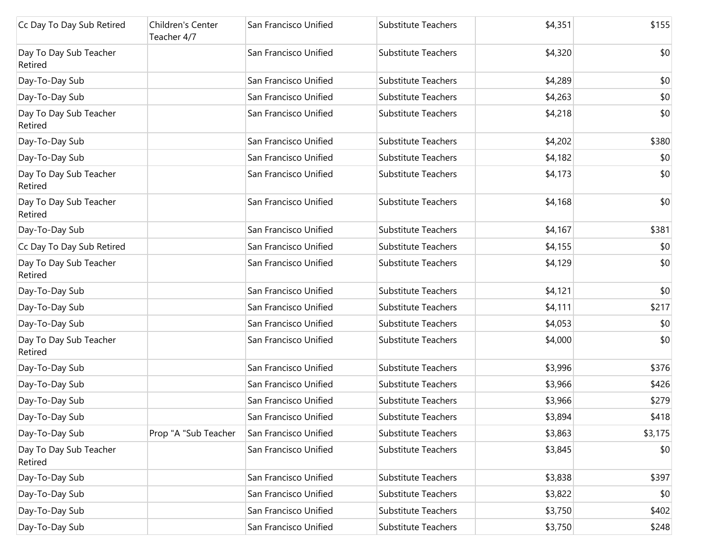| Cc Day To Day Sub Retired         | Children's Center<br>Teacher 4/7 | San Francisco Unified | <b>Substitute Teachers</b> | \$4,351 | \$155   |
|-----------------------------------|----------------------------------|-----------------------|----------------------------|---------|---------|
| Day To Day Sub Teacher<br>Retired |                                  | San Francisco Unified | <b>Substitute Teachers</b> | \$4,320 | \$0     |
| Day-To-Day Sub                    |                                  | San Francisco Unified | <b>Substitute Teachers</b> | \$4,289 | \$0     |
| Day-To-Day Sub                    |                                  | San Francisco Unified | Substitute Teachers        | \$4,263 | \$0     |
| Day To Day Sub Teacher<br>Retired |                                  | San Francisco Unified | <b>Substitute Teachers</b> | \$4,218 | \$0     |
| Day-To-Day Sub                    |                                  | San Francisco Unified | <b>Substitute Teachers</b> | \$4,202 | \$380   |
| Day-To-Day Sub                    |                                  | San Francisco Unified | <b>Substitute Teachers</b> | \$4,182 | \$0     |
| Day To Day Sub Teacher<br>Retired |                                  | San Francisco Unified | <b>Substitute Teachers</b> | \$4,173 | \$0     |
| Day To Day Sub Teacher<br>Retired |                                  | San Francisco Unified | <b>Substitute Teachers</b> | \$4,168 | \$0     |
| Day-To-Day Sub                    |                                  | San Francisco Unified | <b>Substitute Teachers</b> | \$4,167 | \$381   |
| Cc Day To Day Sub Retired         |                                  | San Francisco Unified | <b>Substitute Teachers</b> | \$4,155 | \$0     |
| Day To Day Sub Teacher<br>Retired |                                  | San Francisco Unified | <b>Substitute Teachers</b> | \$4,129 | \$0     |
| Day-To-Day Sub                    |                                  | San Francisco Unified | Substitute Teachers        | \$4,121 | \$0     |
| Day-To-Day Sub                    |                                  | San Francisco Unified | <b>Substitute Teachers</b> | \$4,111 | \$217   |
| Day-To-Day Sub                    |                                  | San Francisco Unified | <b>Substitute Teachers</b> | \$4,053 | \$0     |
| Day To Day Sub Teacher<br>Retired |                                  | San Francisco Unified | <b>Substitute Teachers</b> | \$4,000 | \$0     |
| Day-To-Day Sub                    |                                  | San Francisco Unified | <b>Substitute Teachers</b> | \$3,996 | \$376   |
| Day-To-Day Sub                    |                                  | San Francisco Unified | <b>Substitute Teachers</b> | \$3,966 | \$426   |
| Day-To-Day Sub                    |                                  | San Francisco Unified | <b>Substitute Teachers</b> | \$3,966 | \$279   |
| Day-To-Day Sub                    |                                  | San Francisco Unified | <b>Substitute Teachers</b> | \$3,894 | \$418   |
| Day-To-Day Sub                    | Prop "A "Sub Teacher             | San Francisco Unified | <b>Substitute Teachers</b> | \$3,863 | \$3,175 |
| Day To Day Sub Teacher<br>Retired |                                  | San Francisco Unified | <b>Substitute Teachers</b> | \$3,845 | \$0     |
| Day-To-Day Sub                    |                                  | San Francisco Unified | Substitute Teachers        | \$3,838 | \$397   |
| Day-To-Day Sub                    |                                  | San Francisco Unified | Substitute Teachers        | \$3,822 | \$0     |
| Day-To-Day Sub                    |                                  | San Francisco Unified | Substitute Teachers        | \$3,750 | \$402   |
| Day-To-Day Sub                    |                                  | San Francisco Unified | Substitute Teachers        | \$3,750 | \$248   |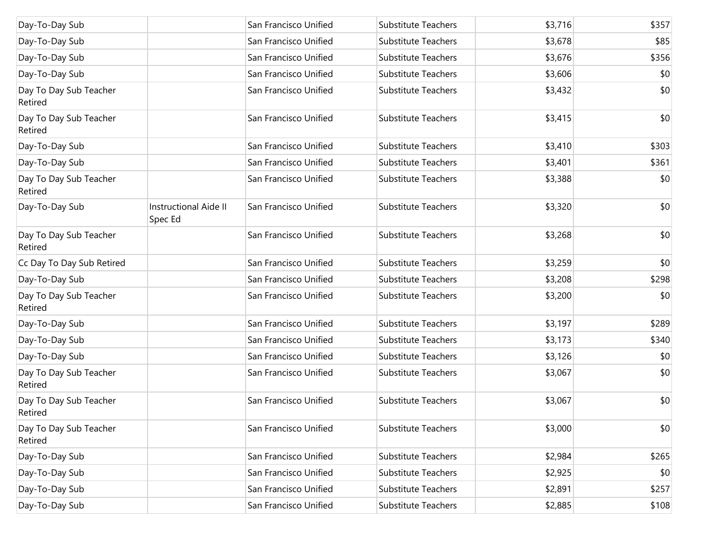| Day-To-Day Sub                    |                                         | San Francisco Unified | <b>Substitute Teachers</b> | \$3,716 | \$357 |
|-----------------------------------|-----------------------------------------|-----------------------|----------------------------|---------|-------|
| Day-To-Day Sub                    |                                         | San Francisco Unified | <b>Substitute Teachers</b> | \$3,678 | \$85  |
| Day-To-Day Sub                    |                                         | San Francisco Unified | <b>Substitute Teachers</b> | \$3,676 | \$356 |
| Day-To-Day Sub                    |                                         | San Francisco Unified | <b>Substitute Teachers</b> | \$3,606 | \$0   |
| Day To Day Sub Teacher<br>Retired |                                         | San Francisco Unified | <b>Substitute Teachers</b> | \$3,432 | \$0   |
| Day To Day Sub Teacher<br>Retired |                                         | San Francisco Unified | <b>Substitute Teachers</b> | \$3,415 | \$0   |
| Day-To-Day Sub                    |                                         | San Francisco Unified | <b>Substitute Teachers</b> | \$3,410 | \$303 |
| Day-To-Day Sub                    |                                         | San Francisco Unified | <b>Substitute Teachers</b> | \$3,401 | \$361 |
| Day To Day Sub Teacher<br>Retired |                                         | San Francisco Unified | <b>Substitute Teachers</b> | \$3,388 | \$0   |
| Day-To-Day Sub                    | <b>Instructional Aide II</b><br>Spec Ed | San Francisco Unified | <b>Substitute Teachers</b> | \$3,320 | \$0   |
| Day To Day Sub Teacher<br>Retired |                                         | San Francisco Unified | <b>Substitute Teachers</b> | \$3,268 | \$0   |
| Cc Day To Day Sub Retired         |                                         | San Francisco Unified | <b>Substitute Teachers</b> | \$3,259 | \$0   |
| Day-To-Day Sub                    |                                         | San Francisco Unified | <b>Substitute Teachers</b> | \$3,208 | \$298 |
| Day To Day Sub Teacher<br>Retired |                                         | San Francisco Unified | <b>Substitute Teachers</b> | \$3,200 | \$0   |
| Day-To-Day Sub                    |                                         | San Francisco Unified | <b>Substitute Teachers</b> | \$3,197 | \$289 |
| Day-To-Day Sub                    |                                         | San Francisco Unified | <b>Substitute Teachers</b> | \$3,173 | \$340 |
| Day-To-Day Sub                    |                                         | San Francisco Unified | <b>Substitute Teachers</b> | \$3,126 | \$0   |
| Day To Day Sub Teacher<br>Retired |                                         | San Francisco Unified | <b>Substitute Teachers</b> | \$3,067 | \$0   |
| Day To Day Sub Teacher<br>Retired |                                         | San Francisco Unified | <b>Substitute Teachers</b> | \$3,067 | \$0   |
| Day To Day Sub Teacher<br>Retired |                                         | San Francisco Unified | Substitute Teachers        | \$3,000 | \$0   |
| Day-To-Day Sub                    |                                         | San Francisco Unified | <b>Substitute Teachers</b> | \$2,984 | \$265 |
| Day-To-Day Sub                    |                                         | San Francisco Unified | <b>Substitute Teachers</b> | \$2,925 | \$0   |
| Day-To-Day Sub                    |                                         | San Francisco Unified | <b>Substitute Teachers</b> | \$2,891 | \$257 |
| Day-To-Day Sub                    |                                         | San Francisco Unified | Substitute Teachers        | \$2,885 | \$108 |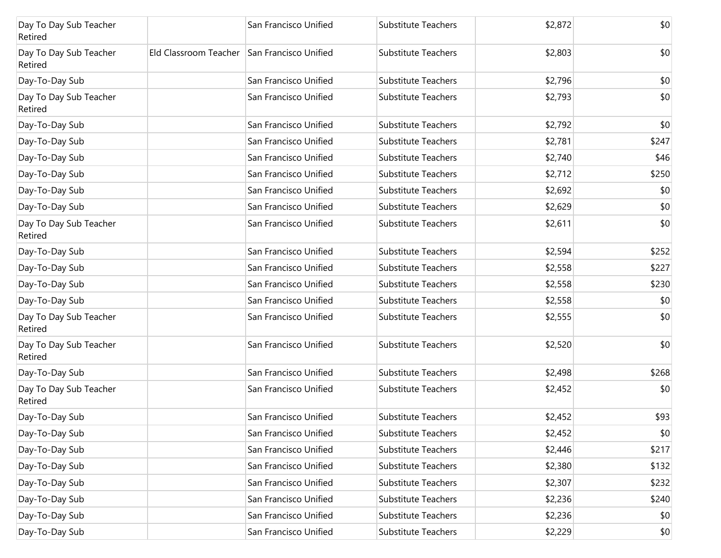| Day To Day Sub Teacher<br>Retired |                                             | San Francisco Unified | Substitute Teachers        | \$2,872 | \$0   |
|-----------------------------------|---------------------------------------------|-----------------------|----------------------------|---------|-------|
| Day To Day Sub Teacher<br>Retired | Eld Classroom Teacher San Francisco Unified |                       | Substitute Teachers        | \$2,803 | \$0   |
| Day-To-Day Sub                    |                                             | San Francisco Unified | Substitute Teachers        | \$2,796 | \$0   |
| Day To Day Sub Teacher<br>Retired |                                             | San Francisco Unified | Substitute Teachers        | \$2,793 | \$0   |
| Day-To-Day Sub                    |                                             | San Francisco Unified | Substitute Teachers        | \$2,792 | \$0   |
| Day-To-Day Sub                    |                                             | San Francisco Unified | <b>Substitute Teachers</b> | \$2,781 | \$247 |
| Day-To-Day Sub                    |                                             | San Francisco Unified | Substitute Teachers        | \$2,740 | \$46  |
| Day-To-Day Sub                    |                                             | San Francisco Unified | <b>Substitute Teachers</b> | \$2,712 | \$250 |
| Day-To-Day Sub                    |                                             | San Francisco Unified | <b>Substitute Teachers</b> | \$2,692 | \$0   |
| Day-To-Day Sub                    |                                             | San Francisco Unified | <b>Substitute Teachers</b> | \$2,629 | \$0   |
| Day To Day Sub Teacher<br>Retired |                                             | San Francisco Unified | <b>Substitute Teachers</b> | \$2,611 | \$0   |
| Day-To-Day Sub                    |                                             | San Francisco Unified | Substitute Teachers        | \$2,594 | \$252 |
| Day-To-Day Sub                    |                                             | San Francisco Unified | Substitute Teachers        | \$2,558 | \$227 |
| Day-To-Day Sub                    |                                             | San Francisco Unified | Substitute Teachers        | \$2,558 | \$230 |
| Day-To-Day Sub                    |                                             | San Francisco Unified | Substitute Teachers        | \$2,558 | \$0   |
| Day To Day Sub Teacher<br>Retired |                                             | San Francisco Unified | <b>Substitute Teachers</b> | \$2,555 | \$0   |
| Day To Day Sub Teacher<br>Retired |                                             | San Francisco Unified | Substitute Teachers        | \$2,520 | \$0   |
| Day-To-Day Sub                    |                                             | San Francisco Unified | Substitute Teachers        | \$2,498 | \$268 |
| Day To Day Sub Teacher<br>Retired |                                             | San Francisco Unified | Substitute Teachers        | \$2,452 | \$0   |
| Day-To-Day Sub                    |                                             | San Francisco Unified | Substitute Teachers        | \$2,452 | \$93  |
| Day-To-Day Sub                    |                                             | San Francisco Unified | Substitute Teachers        | \$2,452 | \$0   |
| Day-To-Day Sub                    |                                             | San Francisco Unified | Substitute Teachers        | \$2,446 | \$217 |
| Day-To-Day Sub                    |                                             | San Francisco Unified | <b>Substitute Teachers</b> | \$2,380 | \$132 |
| Day-To-Day Sub                    |                                             | San Francisco Unified | Substitute Teachers        | \$2,307 | \$232 |
| Day-To-Day Sub                    |                                             | San Francisco Unified | Substitute Teachers        | \$2,236 | \$240 |
| Day-To-Day Sub                    |                                             | San Francisco Unified | Substitute Teachers        | \$2,236 | \$0   |
| Day-To-Day Sub                    |                                             | San Francisco Unified | Substitute Teachers        | \$2,229 | \$0   |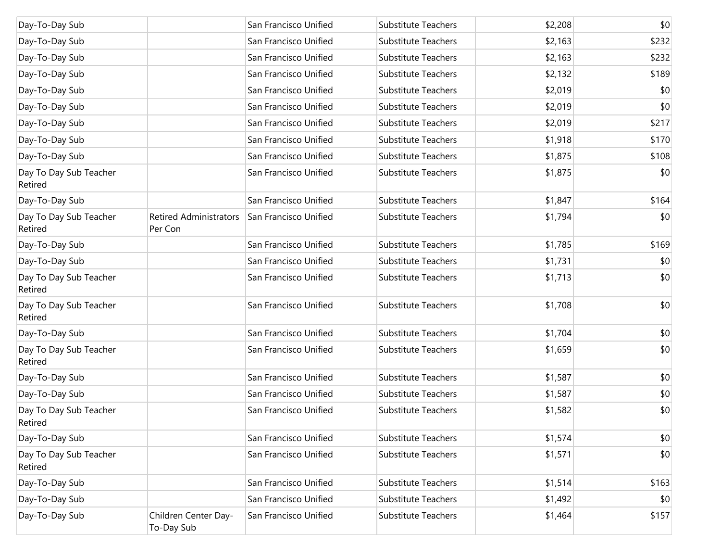| Day-To-Day Sub                    |                                          | San Francisco Unified | <b>Substitute Teachers</b> | \$2,208 | \$0   |
|-----------------------------------|------------------------------------------|-----------------------|----------------------------|---------|-------|
| Day-To-Day Sub                    |                                          | San Francisco Unified | <b>Substitute Teachers</b> | \$2,163 | \$232 |
| Day-To-Day Sub                    |                                          | San Francisco Unified | <b>Substitute Teachers</b> | \$2,163 | \$232 |
| Day-To-Day Sub                    |                                          | San Francisco Unified | <b>Substitute Teachers</b> | \$2,132 | \$189 |
| Day-To-Day Sub                    |                                          | San Francisco Unified | <b>Substitute Teachers</b> | \$2,019 | \$0   |
| Day-To-Day Sub                    |                                          | San Francisco Unified | <b>Substitute Teachers</b> | \$2,019 | \$0   |
| Day-To-Day Sub                    |                                          | San Francisco Unified | <b>Substitute Teachers</b> | \$2,019 | \$217 |
| Day-To-Day Sub                    |                                          | San Francisco Unified | <b>Substitute Teachers</b> | \$1,918 | \$170 |
| Day-To-Day Sub                    |                                          | San Francisco Unified | <b>Substitute Teachers</b> | \$1,875 | \$108 |
| Day To Day Sub Teacher<br>Retired |                                          | San Francisco Unified | <b>Substitute Teachers</b> | \$1,875 | \$0   |
| Day-To-Day Sub                    |                                          | San Francisco Unified | <b>Substitute Teachers</b> | \$1,847 | \$164 |
| Day To Day Sub Teacher<br>Retired | <b>Retired Administrators</b><br>Per Con | San Francisco Unified | <b>Substitute Teachers</b> | \$1,794 | \$0   |
| Day-To-Day Sub                    |                                          | San Francisco Unified | Substitute Teachers        | \$1,785 | \$169 |
| Day-To-Day Sub                    |                                          | San Francisco Unified | <b>Substitute Teachers</b> | \$1,731 | \$0   |
| Day To Day Sub Teacher<br>Retired |                                          | San Francisco Unified | <b>Substitute Teachers</b> | \$1,713 | \$0   |
| Day To Day Sub Teacher<br>Retired |                                          | San Francisco Unified | <b>Substitute Teachers</b> | \$1,708 | \$0   |
| Day-To-Day Sub                    |                                          | San Francisco Unified | Substitute Teachers        | \$1,704 | \$0   |
| Day To Day Sub Teacher<br>Retired |                                          | San Francisco Unified | <b>Substitute Teachers</b> | \$1,659 | \$0   |
| Day-To-Day Sub                    |                                          | San Francisco Unified | <b>Substitute Teachers</b> | \$1,587 | \$0   |
| Day-To-Day Sub                    |                                          | San Francisco Unified | <b>Substitute Teachers</b> | \$1,587 | \$0   |
| Day To Day Sub Teacher<br>Retired |                                          | San Francisco Unified | <b>Substitute Teachers</b> | \$1,582 | \$0   |
| Day-To-Day Sub                    |                                          | San Francisco Unified | <b>Substitute Teachers</b> | \$1,574 | \$0   |
| Day To Day Sub Teacher<br>Retired |                                          | San Francisco Unified | <b>Substitute Teachers</b> | \$1,571 | \$0   |
| Day-To-Day Sub                    |                                          | San Francisco Unified | <b>Substitute Teachers</b> | \$1,514 | \$163 |
| Day-To-Day Sub                    |                                          | San Francisco Unified | <b>Substitute Teachers</b> | \$1,492 | \$0   |
| Day-To-Day Sub                    | Children Center Day-<br>To-Day Sub       | San Francisco Unified | Substitute Teachers        | \$1,464 | \$157 |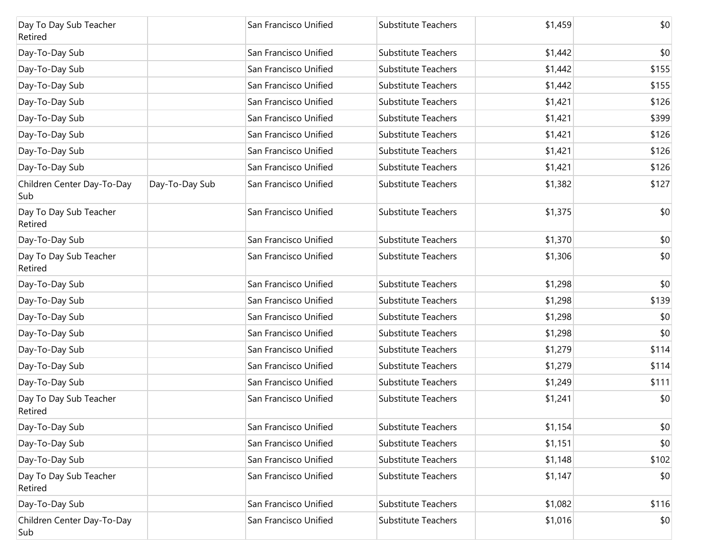| Day To Day Sub Teacher<br>Retired  |                | San Francisco Unified | Substitute Teachers        | \$1,459 | \$0   |
|------------------------------------|----------------|-----------------------|----------------------------|---------|-------|
| Day-To-Day Sub                     |                | San Francisco Unified | <b>Substitute Teachers</b> | \$1,442 | \$0   |
| Day-To-Day Sub                     |                | San Francisco Unified | <b>Substitute Teachers</b> | \$1,442 | \$155 |
| Day-To-Day Sub                     |                | San Francisco Unified | <b>Substitute Teachers</b> | \$1,442 | \$155 |
| Day-To-Day Sub                     |                | San Francisco Unified | <b>Substitute Teachers</b> | \$1,421 | \$126 |
| Day-To-Day Sub                     |                | San Francisco Unified | <b>Substitute Teachers</b> | \$1,421 | \$399 |
| Day-To-Day Sub                     |                | San Francisco Unified | <b>Substitute Teachers</b> | \$1,421 | \$126 |
| Day-To-Day Sub                     |                | San Francisco Unified | <b>Substitute Teachers</b> | \$1,421 | \$126 |
| Day-To-Day Sub                     |                | San Francisco Unified | <b>Substitute Teachers</b> | \$1,421 | \$126 |
| Children Center Day-To-Day<br> Sub | Day-To-Day Sub | San Francisco Unified | <b>Substitute Teachers</b> | \$1,382 | \$127 |
| Day To Day Sub Teacher<br>Retired  |                | San Francisco Unified | Substitute Teachers        | \$1,375 | \$0   |
| Day-To-Day Sub                     |                | San Francisco Unified | <b>Substitute Teachers</b> | \$1,370 | \$0   |
| Day To Day Sub Teacher<br>Retired  |                | San Francisco Unified | <b>Substitute Teachers</b> | \$1,306 | \$0   |
| Day-To-Day Sub                     |                | San Francisco Unified | <b>Substitute Teachers</b> | \$1,298 | \$0   |
| Day-To-Day Sub                     |                | San Francisco Unified | <b>Substitute Teachers</b> | \$1,298 | \$139 |
| Day-To-Day Sub                     |                | San Francisco Unified | <b>Substitute Teachers</b> | \$1,298 | \$0   |
| Day-To-Day Sub                     |                | San Francisco Unified | <b>Substitute Teachers</b> | \$1,298 | \$0   |
| Day-To-Day Sub                     |                | San Francisco Unified | <b>Substitute Teachers</b> | \$1,279 | \$114 |
| Day-To-Day Sub                     |                | San Francisco Unified | <b>Substitute Teachers</b> | \$1,279 | \$114 |
| Day-To-Day Sub                     |                | San Francisco Unified | <b>Substitute Teachers</b> | \$1,249 | \$111 |
| Day To Day Sub Teacher<br>Retired  |                | San Francisco Unified | <b>Substitute Teachers</b> | \$1,241 | \$0   |
| Day-To-Day Sub                     |                | San Francisco Unified | <b>Substitute Teachers</b> | \$1,154 | \$0   |
| Day-To-Day Sub                     |                | San Francisco Unified | <b>Substitute Teachers</b> | \$1,151 | \$0   |
| Day-To-Day Sub                     |                | San Francisco Unified | <b>Substitute Teachers</b> | \$1,148 | \$102 |
| Day To Day Sub Teacher<br>Retired  |                | San Francisco Unified | <b>Substitute Teachers</b> | \$1,147 | \$0   |
| Day-To-Day Sub                     |                | San Francisco Unified | <b>Substitute Teachers</b> | \$1,082 | \$116 |
| Children Center Day-To-Day<br>Sub  |                | San Francisco Unified | Substitute Teachers        | \$1,016 | \$0   |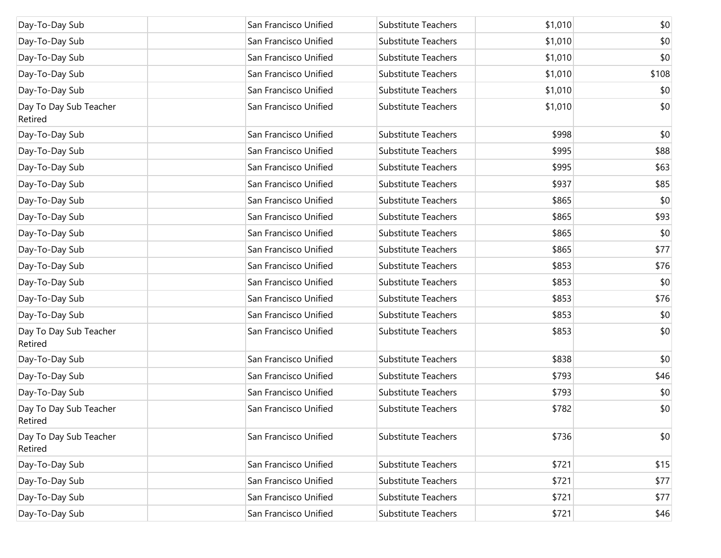| Day-To-Day Sub                    | San Francisco Unified | Substitute Teachers        | \$1,010 | \$0   |
|-----------------------------------|-----------------------|----------------------------|---------|-------|
| Day-To-Day Sub                    | San Francisco Unified | Substitute Teachers        | \$1,010 | \$0   |
| Day-To-Day Sub                    | San Francisco Unified | Substitute Teachers        | \$1,010 | \$0   |
| Day-To-Day Sub                    | San Francisco Unified | Substitute Teachers        | \$1,010 | \$108 |
| Day-To-Day Sub                    | San Francisco Unified | Substitute Teachers        | \$1,010 | \$0   |
| Day To Day Sub Teacher<br>Retired | San Francisco Unified | Substitute Teachers        | \$1,010 | \$0   |
| Day-To-Day Sub                    | San Francisco Unified | Substitute Teachers        | \$998   | \$0   |
| Day-To-Day Sub                    | San Francisco Unified | <b>Substitute Teachers</b> | \$995   | \$88  |
| Day-To-Day Sub                    | San Francisco Unified | Substitute Teachers        | \$995   | \$63  |
| Day-To-Day Sub                    | San Francisco Unified | Substitute Teachers        | \$937   | \$85  |
| Day-To-Day Sub                    | San Francisco Unified | Substitute Teachers        | \$865   | \$0   |
| Day-To-Day Sub                    | San Francisco Unified | Substitute Teachers        | \$865   | \$93  |
| Day-To-Day Sub                    | San Francisco Unified | <b>Substitute Teachers</b> | \$865   | \$0   |
| Day-To-Day Sub                    | San Francisco Unified | Substitute Teachers        | \$865   | \$77  |
| Day-To-Day Sub                    | San Francisco Unified | <b>Substitute Teachers</b> | \$853   | \$76  |
| Day-To-Day Sub                    | San Francisco Unified | Substitute Teachers        | \$853   | \$0   |
| Day-To-Day Sub                    | San Francisco Unified | Substitute Teachers        | \$853   | \$76  |
| Day-To-Day Sub                    | San Francisco Unified | Substitute Teachers        | \$853   | \$0   |
| Day To Day Sub Teacher<br>Retired | San Francisco Unified | <b>Substitute Teachers</b> | \$853   | \$0   |
| Day-To-Day Sub                    | San Francisco Unified | Substitute Teachers        | \$838   | \$0   |
| Day-To-Day Sub                    | San Francisco Unified | Substitute Teachers        | \$793   | \$46  |
| Day-To-Day Sub                    | San Francisco Unified | Substitute Teachers        | \$793   | \$0   |
| Day To Day Sub Teacher<br>Retired | San Francisco Unified | Substitute Teachers        | \$782   | \$0   |
| Day To Day Sub Teacher<br>Retired | San Francisco Unified | Substitute Teachers        | \$736   | \$0   |
| Day-To-Day Sub                    | San Francisco Unified | Substitute Teachers        | \$721   | \$15  |
| Day-To-Day Sub                    | San Francisco Unified | Substitute Teachers        | \$721   | \$77  |
| Day-To-Day Sub                    | San Francisco Unified | Substitute Teachers        | \$721   | \$77  |
| Day-To-Day Sub                    | San Francisco Unified | Substitute Teachers        | \$721   | \$46  |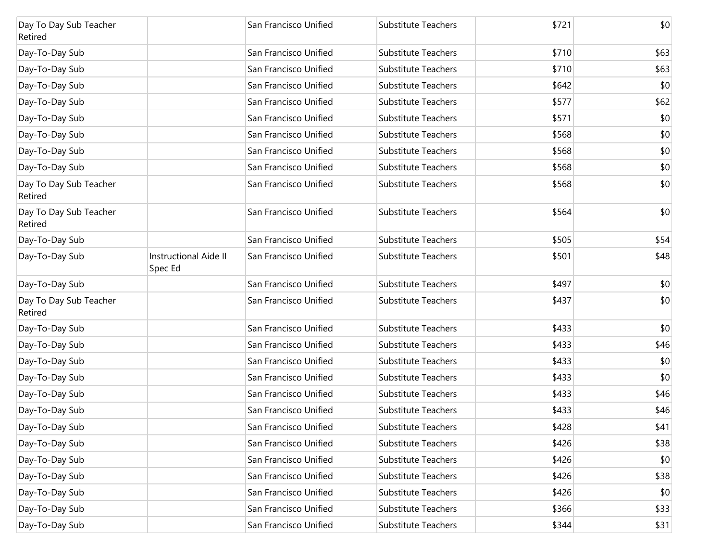| Day To Day Sub Teacher<br>Retired |                                         | San Francisco Unified | Substitute Teachers        | \$721 | \$0  |
|-----------------------------------|-----------------------------------------|-----------------------|----------------------------|-------|------|
| Day-To-Day Sub                    |                                         | San Francisco Unified | <b>Substitute Teachers</b> | \$710 | \$63 |
| Day-To-Day Sub                    |                                         | San Francisco Unified | <b>Substitute Teachers</b> | \$710 | \$63 |
| Day-To-Day Sub                    |                                         | San Francisco Unified | <b>Substitute Teachers</b> | \$642 | \$0  |
| Day-To-Day Sub                    |                                         | San Francisco Unified | <b>Substitute Teachers</b> | \$577 | \$62 |
| Day-To-Day Sub                    |                                         | San Francisco Unified | <b>Substitute Teachers</b> | \$571 | \$0  |
| Day-To-Day Sub                    |                                         | San Francisco Unified | <b>Substitute Teachers</b> | \$568 | \$0  |
| Day-To-Day Sub                    |                                         | San Francisco Unified | <b>Substitute Teachers</b> | \$568 | \$0  |
| Day-To-Day Sub                    |                                         | San Francisco Unified | <b>Substitute Teachers</b> | \$568 | \$0  |
| Day To Day Sub Teacher<br>Retired |                                         | San Francisco Unified | <b>Substitute Teachers</b> | \$568 | \$0  |
| Day To Day Sub Teacher<br>Retired |                                         | San Francisco Unified | <b>Substitute Teachers</b> | \$564 | \$0  |
| Day-To-Day Sub                    |                                         | San Francisco Unified | <b>Substitute Teachers</b> | \$505 | \$54 |
| Day-To-Day Sub                    | <b>Instructional Aide II</b><br>Spec Ed | San Francisco Unified | <b>Substitute Teachers</b> | \$501 | \$48 |
| Day-To-Day Sub                    |                                         | San Francisco Unified | <b>Substitute Teachers</b> | \$497 | \$0  |
| Day To Day Sub Teacher<br>Retired |                                         | San Francisco Unified | <b>Substitute Teachers</b> | \$437 | \$0  |
| Day-To-Day Sub                    |                                         | San Francisco Unified | <b>Substitute Teachers</b> | \$433 | \$0  |
| Day-To-Day Sub                    |                                         | San Francisco Unified | Substitute Teachers        | \$433 | \$46 |
| Day-To-Day Sub                    |                                         | San Francisco Unified | <b>Substitute Teachers</b> | \$433 | \$0  |
| Day-To-Day Sub                    |                                         | San Francisco Unified | <b>Substitute Teachers</b> | \$433 | \$0  |
| Day-To-Day Sub                    |                                         | San Francisco Unified | Substitute Teachers        | \$433 | \$46 |
| Day-To-Day Sub                    |                                         | San Francisco Unified | <b>Substitute Teachers</b> | \$433 | \$46 |
| Day-To-Day Sub                    |                                         | San Francisco Unified | Substitute Teachers        | \$428 | \$41 |
| Day-To-Day Sub                    |                                         | San Francisco Unified | <b>Substitute Teachers</b> | \$426 | \$38 |
| Day-To-Day Sub                    |                                         | San Francisco Unified | <b>Substitute Teachers</b> | \$426 | \$0  |
| Day-To-Day Sub                    |                                         | San Francisco Unified | Substitute Teachers        | \$426 | \$38 |
| Day-To-Day Sub                    |                                         | San Francisco Unified | Substitute Teachers        | \$426 | \$0  |
| Day-To-Day Sub                    |                                         | San Francisco Unified | Substitute Teachers        | \$366 | \$33 |
| Day-To-Day Sub                    |                                         | San Francisco Unified | Substitute Teachers        | \$344 | \$31 |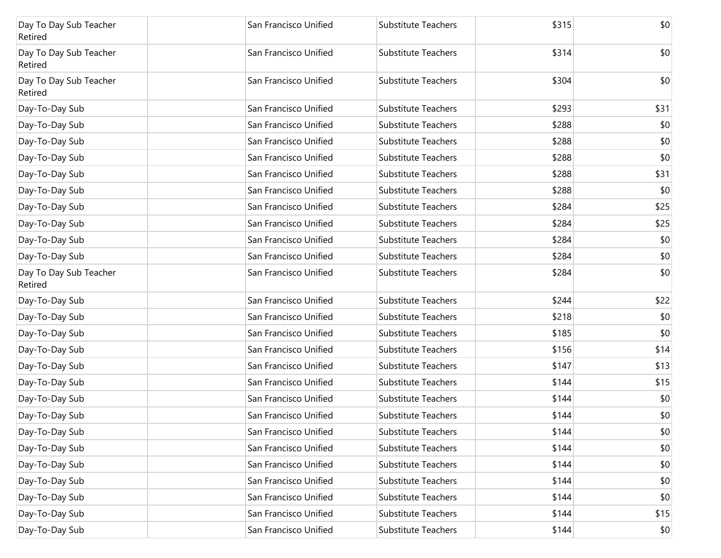| Day To Day Sub Teacher<br>Retired | San Francisco Unified | Substitute Teachers        | \$315 | \$0  |
|-----------------------------------|-----------------------|----------------------------|-------|------|
| Day To Day Sub Teacher<br>Retired | San Francisco Unified | Substitute Teachers        | \$314 | \$0  |
| Day To Day Sub Teacher<br>Retired | San Francisco Unified | Substitute Teachers        | \$304 | \$0  |
| Day-To-Day Sub                    | San Francisco Unified | <b>Substitute Teachers</b> | \$293 | \$31 |
| Day-To-Day Sub                    | San Francisco Unified | <b>Substitute Teachers</b> | \$288 | \$0  |
| Day-To-Day Sub                    | San Francisco Unified | <b>Substitute Teachers</b> | \$288 | \$0  |
| Day-To-Day Sub                    | San Francisco Unified | <b>Substitute Teachers</b> | \$288 | \$0  |
| Day-To-Day Sub                    | San Francisco Unified | <b>Substitute Teachers</b> | \$288 | \$31 |
| Day-To-Day Sub                    | San Francisco Unified | <b>Substitute Teachers</b> | \$288 | \$0  |
| Day-To-Day Sub                    | San Francisco Unified | <b>Substitute Teachers</b> | \$284 | \$25 |
| Day-To-Day Sub                    | San Francisco Unified | <b>Substitute Teachers</b> | \$284 | \$25 |
| Day-To-Day Sub                    | San Francisco Unified | <b>Substitute Teachers</b> | \$284 | \$0  |
| Day-To-Day Sub                    | San Francisco Unified | <b>Substitute Teachers</b> | \$284 | \$0  |
| Day To Day Sub Teacher<br>Retired | San Francisco Unified | <b>Substitute Teachers</b> | \$284 | \$0  |
| Day-To-Day Sub                    | San Francisco Unified | Substitute Teachers        | \$244 | \$22 |
| Day-To-Day Sub                    | San Francisco Unified | Substitute Teachers        | \$218 | \$0  |
| Day-To-Day Sub                    | San Francisco Unified | Substitute Teachers        | \$185 | \$0  |
| Day-To-Day Sub                    | San Francisco Unified | Substitute Teachers        | \$156 | \$14 |
| Day-To-Day Sub                    | San Francisco Unified | Substitute Teachers        | \$147 | \$13 |
| Day-To-Day Sub                    | San Francisco Unified | Substitute Teachers        | \$144 | \$15 |
| Day-To-Day Sub                    | San Francisco Unified | Substitute Teachers        | \$144 | \$0  |
| Day-To-Day Sub                    | San Francisco Unified | <b>Substitute Teachers</b> | \$144 | \$0  |
| Day-To-Day Sub                    | San Francisco Unified | Substitute Teachers        | \$144 | \$0  |
| Day-To-Day Sub                    | San Francisco Unified | Substitute Teachers        | \$144 | \$0  |
| Day-To-Day Sub                    | San Francisco Unified | Substitute Teachers        | \$144 | \$0  |
| Day-To-Day Sub                    | San Francisco Unified | <b>Substitute Teachers</b> | \$144 | \$0  |
| Day-To-Day Sub                    | San Francisco Unified | Substitute Teachers        | \$144 | \$0  |
| Day-To-Day Sub                    | San Francisco Unified | Substitute Teachers        | \$144 | \$15 |
| Day-To-Day Sub                    | San Francisco Unified | Substitute Teachers        | \$144 | \$0  |